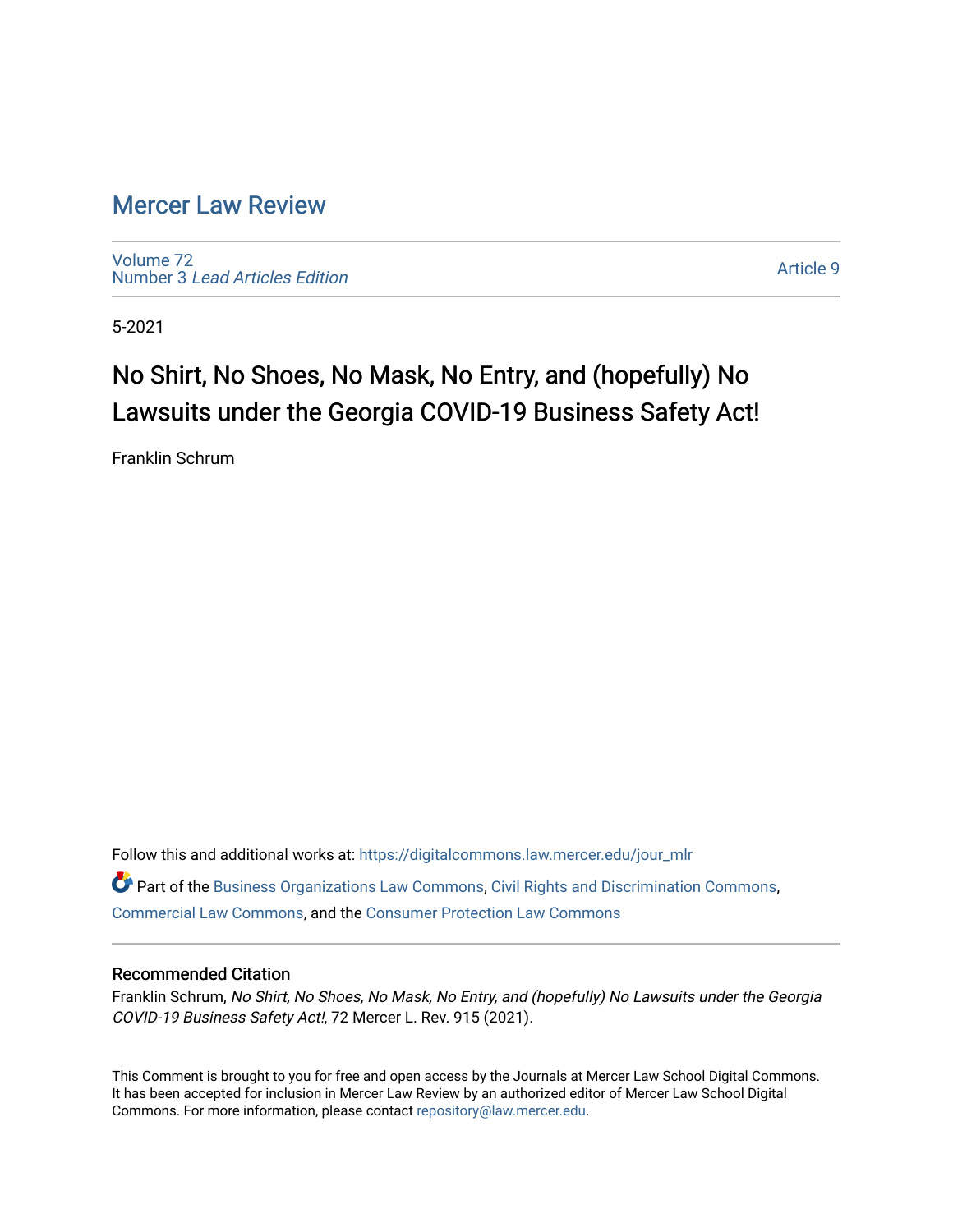# [Mercer Law Review](https://digitalcommons.law.mercer.edu/jour_mlr)

[Volume 72](https://digitalcommons.law.mercer.edu/jour_mlr/vol72) Number 3 [Lead Articles Edition](https://digitalcommons.law.mercer.edu/jour_mlr/vol72/iss3)

[Article 9](https://digitalcommons.law.mercer.edu/jour_mlr/vol72/iss3/9) 

5-2021

# No Shirt, No Shoes, No Mask, No Entry, and (hopefully) No Lawsuits under the Georgia COVID-19 Business Safety Act!

Franklin Schrum

Follow this and additional works at: [https://digitalcommons.law.mercer.edu/jour\\_mlr](https://digitalcommons.law.mercer.edu/jour_mlr?utm_source=digitalcommons.law.mercer.edu%2Fjour_mlr%2Fvol72%2Fiss3%2F9&utm_medium=PDF&utm_campaign=PDFCoverPages)

Part of the [Business Organizations Law Commons](http://network.bepress.com/hgg/discipline/900?utm_source=digitalcommons.law.mercer.edu%2Fjour_mlr%2Fvol72%2Fiss3%2F9&utm_medium=PDF&utm_campaign=PDFCoverPages), [Civil Rights and Discrimination Commons](http://network.bepress.com/hgg/discipline/585?utm_source=digitalcommons.law.mercer.edu%2Fjour_mlr%2Fvol72%2Fiss3%2F9&utm_medium=PDF&utm_campaign=PDFCoverPages), [Commercial Law Commons](http://network.bepress.com/hgg/discipline/586?utm_source=digitalcommons.law.mercer.edu%2Fjour_mlr%2Fvol72%2Fiss3%2F9&utm_medium=PDF&utm_campaign=PDFCoverPages), and the [Consumer Protection Law Commons](http://network.bepress.com/hgg/discipline/838?utm_source=digitalcommons.law.mercer.edu%2Fjour_mlr%2Fvol72%2Fiss3%2F9&utm_medium=PDF&utm_campaign=PDFCoverPages) 

# Recommended Citation

Franklin Schrum, No Shirt, No Shoes, No Mask, No Entry, and (hopefully) No Lawsuits under the Georgia COVID-19 Business Safety Act!, 72 Mercer L. Rev. 915 (2021).

This Comment is brought to you for free and open access by the Journals at Mercer Law School Digital Commons. It has been accepted for inclusion in Mercer Law Review by an authorized editor of Mercer Law School Digital Commons. For more information, please contact [repository@law.mercer.edu.](mailto:repository@law.mercer.edu)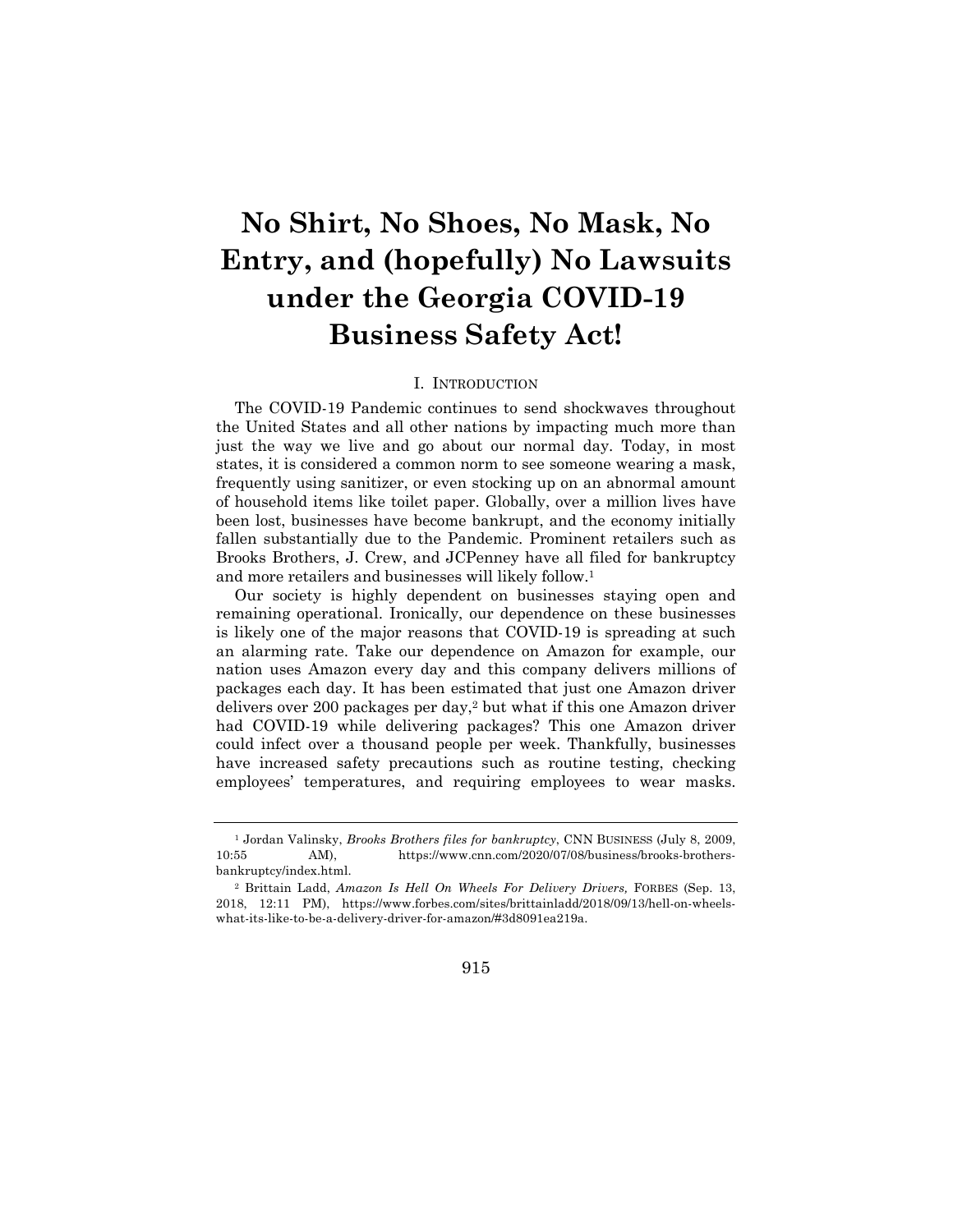# **No Shirt, No Shoes, No Mask, No Entry, and (hopefully) No Lawsuits under the Georgia COVID-19 Business Safety Act!**

# I. INTRODUCTION

The COVID-19 Pandemic continues to send shockwaves throughout the United States and all other nations by impacting much more than just the way we live and go about our normal day. Today, in most states, it is considered a common norm to see someone wearing a mask, frequently using sanitizer, or even stocking up on an abnormal amount of household items like toilet paper. Globally, over a million lives have been lost, businesses have become bankrupt, and the economy initially fallen substantially due to the Pandemic. Prominent retailers such as Brooks Brothers, J. Crew, and JCPenney have all filed for bankruptcy and more retailers and businesses will likely follow.1

Our society is highly dependent on businesses staying open and remaining operational. Ironically, our dependence on these businesses is likely one of the major reasons that COVID-19 is spreading at such an alarming rate. Take our dependence on Amazon for example, our nation uses Amazon every day and this company delivers millions of packages each day. It has been estimated that just one Amazon driver delivers over 200 packages per day,2 but what if this one Amazon driver had COVID-19 while delivering packages? This one Amazon driver could infect over a thousand people per week. Thankfully, businesses have increased safety precautions such as routine testing, checking employees' temperatures, and requiring employees to wear masks.

915

<sup>1</sup> Jordan Valinsky, *Brooks Brothers files for bankruptcy*, CNN BUSINESS (July 8, 2009, 10:55 AM), https://www.cnn.com/2020/07/08/business/brooks-brothersbankruptcy/index.html.

<sup>2</sup> Brittain Ladd, *Amazon Is Hell On Wheels For Delivery Drivers,* FORBES (Sep. 13, 2018, 12:11 PM), https://www.forbes.com/sites/brittainladd/2018/09/13/hell-on-wheelswhat-its-like-to-be-a-delivery-driver-for-amazon/#3d8091ea219a.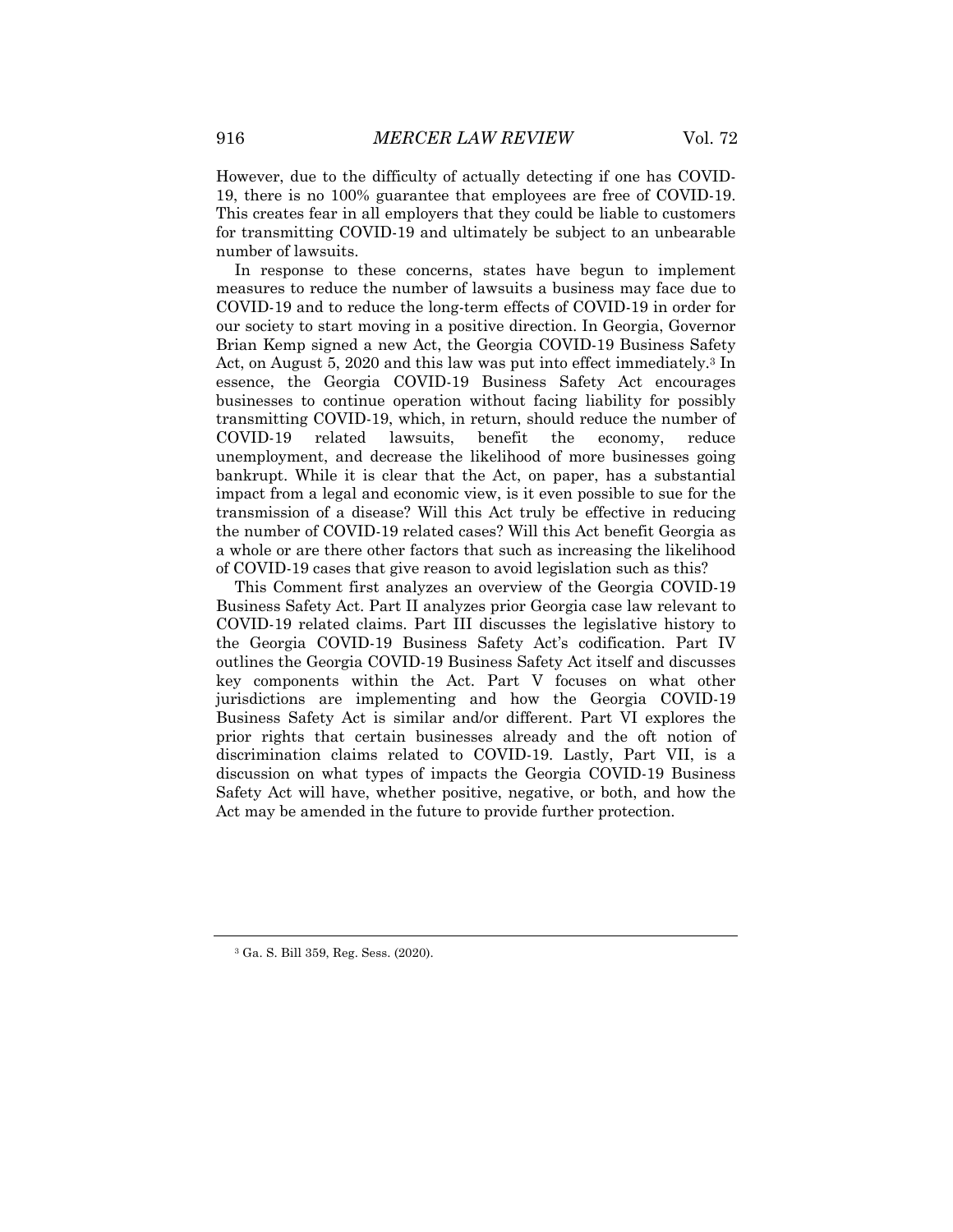However, due to the difficulty of actually detecting if one has COVID-19, there is no 100% guarantee that employees are free of COVID-19. This creates fear in all employers that they could be liable to customers for transmitting COVID-19 and ultimately be subject to an unbearable number of lawsuits.

In response to these concerns, states have begun to implement measures to reduce the number of lawsuits a business may face due to COVID-19 and to reduce the long-term effects of COVID-19 in order for our society to start moving in a positive direction. In Georgia, Governor Brian Kemp signed a new Act, the Georgia COVID-19 Business Safety Act, on August 5, 2020 and this law was put into effect immediately.3 In essence, the Georgia COVID-19 Business Safety Act encourages businesses to continue operation without facing liability for possibly transmitting COVID-19, which, in return, should reduce the number of COVID-19 related lawsuits, benefit the economy, reduce unemployment, and decrease the likelihood of more businesses going bankrupt. While it is clear that the Act, on paper, has a substantial impact from a legal and economic view, is it even possible to sue for the transmission of a disease? Will this Act truly be effective in reducing the number of COVID-19 related cases? Will this Act benefit Georgia as a whole or are there other factors that such as increasing the likelihood of COVID-19 cases that give reason to avoid legislation such as this?

This Comment first analyzes an overview of the Georgia COVID-19 Business Safety Act. Part II analyzes prior Georgia case law relevant to COVID-19 related claims. Part III discusses the legislative history to the Georgia COVID-19 Business Safety Act's codification. Part IV outlines the Georgia COVID-19 Business Safety Act itself and discusses key components within the Act. Part V focuses on what other jurisdictions are implementing and how the Georgia COVID-19 Business Safety Act is similar and/or different. Part VI explores the prior rights that certain businesses already and the oft notion of discrimination claims related to COVID-19. Lastly, Part VII, is a discussion on what types of impacts the Georgia COVID-19 Business Safety Act will have, whether positive, negative, or both, and how the Act may be amended in the future to provide further protection.

<sup>3</sup> Ga. S. Bill 359, Reg. Sess. (2020).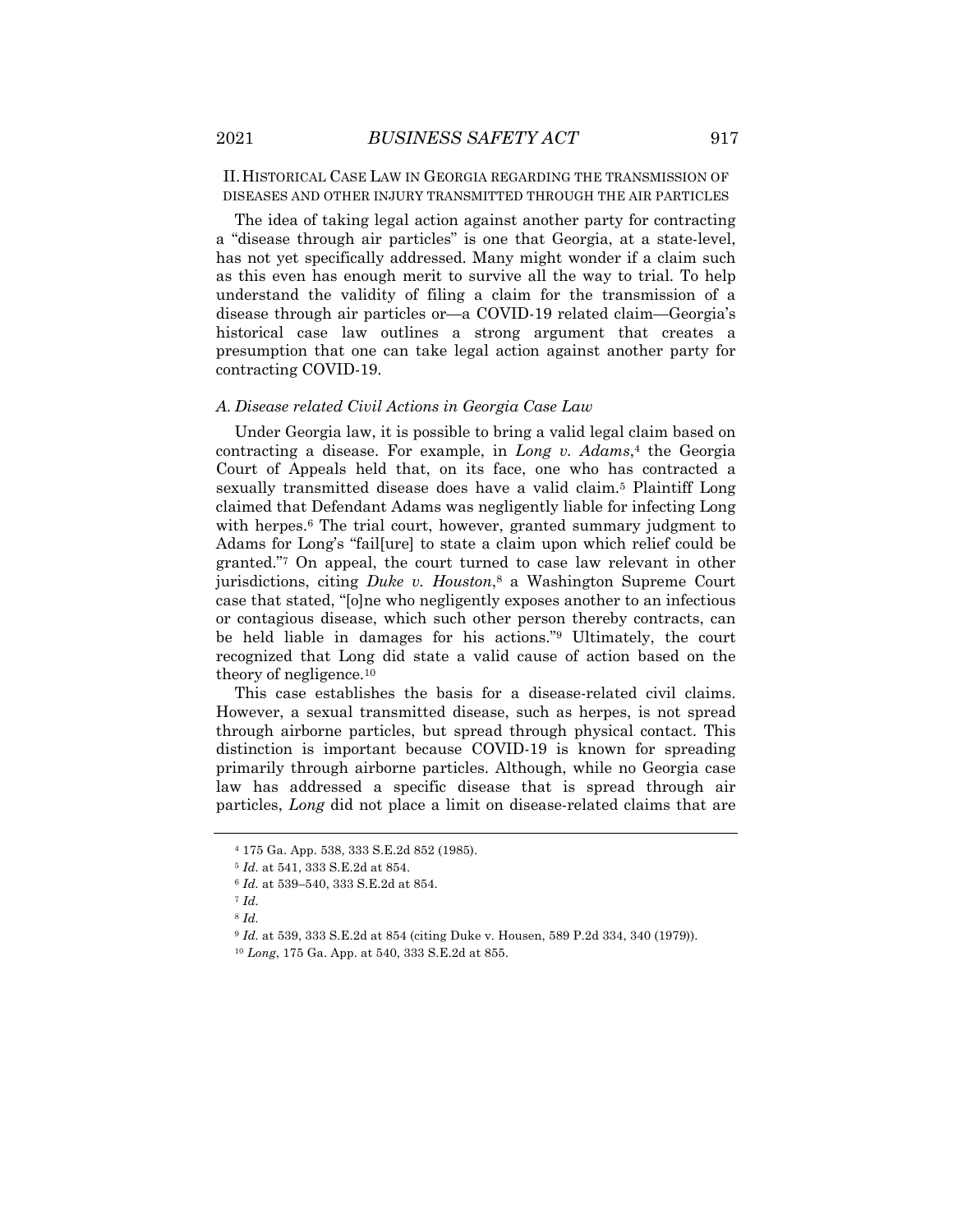II.HISTORICAL CASE LAW IN GEORGIA REGARDING THE TRANSMISSION OF DISEASES AND OTHER INJURY TRANSMITTED THROUGH THE AIR PARTICLES

The idea of taking legal action against another party for contracting a "disease through air particles" is one that Georgia, at a state-level, has not yet specifically addressed. Many might wonder if a claim such as this even has enough merit to survive all the way to trial. To help understand the validity of filing a claim for the transmission of a disease through air particles or—a COVID-19 related claim—Georgia's historical case law outlines a strong argument that creates a presumption that one can take legal action against another party for contracting COVID-19.

#### *A. Disease related Civil Actions in Georgia Case Law*

Under Georgia law, it is possible to bring a valid legal claim based on contracting a disease. For example, in *Long v. Adams*,<sup>4</sup> the Georgia Court of Appeals held that, on its face, one who has contracted a sexually transmitted disease does have a valid claim.<sup>5</sup> Plaintiff Long claimed that Defendant Adams was negligently liable for infecting Long with herpes.<sup>6</sup> The trial court, however, granted summary judgment to Adams for Long's "fail[ure] to state a claim upon which relief could be granted."7 On appeal, the court turned to case law relevant in other jurisdictions, citing *Duke v. Houston*,8 a Washington Supreme Court case that stated, "[o]ne who negligently exposes another to an infectious or contagious disease, which such other person thereby contracts, can be held liable in damages for his actions."9 Ultimately, the court recognized that Long did state a valid cause of action based on the theory of negligence.10

This case establishes the basis for a disease-related civil claims. However, a sexual transmitted disease, such as herpes, is not spread through airborne particles, but spread through physical contact. This distinction is important because COVID-19 is known for spreading primarily through airborne particles. Although, while no Georgia case law has addressed a specific disease that is spread through air particles, *Long* did not place a limit on disease-related claims that are

<sup>4</sup> 175 Ga. App. 538, 333 S.E.2d 852 (1985).

<sup>5</sup> *Id.* at 541, 333 S.E.2d at 854.

<sup>6</sup> *Id.* at 539–540, 333 S.E.2d at 854.

<sup>7</sup> *Id.*

<sup>8</sup> *Id.*

<sup>9</sup> *Id.* at 539, 333 S.E.2d at 854 (citing Duke v. Housen, 589 P.2d 334, 340 (1979)).

<sup>10</sup> *Long*, 175 Ga. App. at 540, 333 S.E.2d at 855.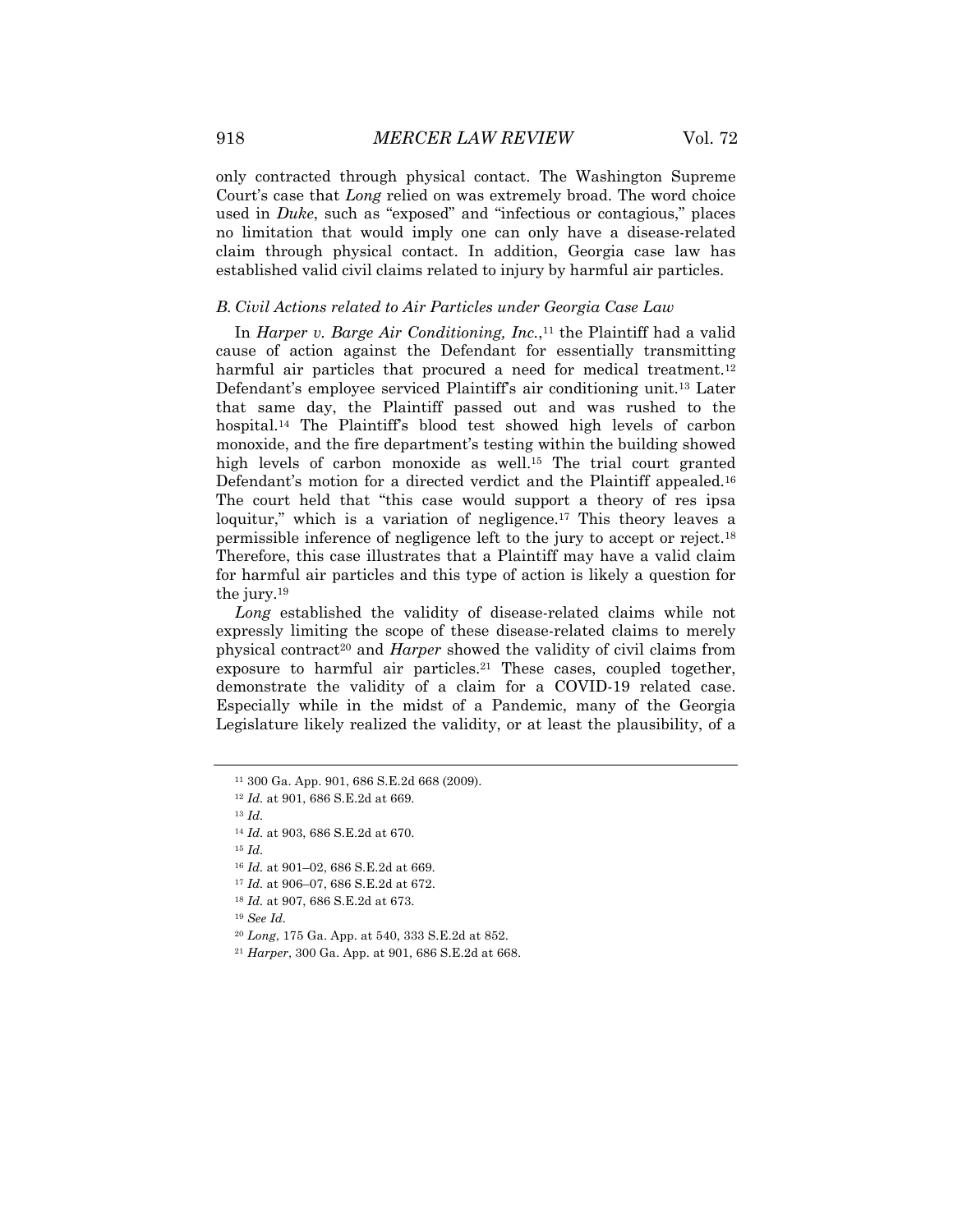only contracted through physical contact. The Washington Supreme Court's case that *Long* relied on was extremely broad. The word choice used in *Duke*, such as "exposed" and "infectious or contagious," places no limitation that would imply one can only have a disease-related claim through physical contact. In addition, Georgia case law has established valid civil claims related to injury by harmful air particles.

#### *B. Civil Actions related to Air Particles under Georgia Case Law*

In *Harper v. Barge Air Conditioning, Inc.*,<sup>11</sup> the Plaintiff had a valid cause of action against the Defendant for essentially transmitting harmful air particles that procured a need for medical treatment.<sup>12</sup> Defendant's employee serviced Plaintiff's air conditioning unit.13 Later that same day, the Plaintiff passed out and was rushed to the hospital.14 The Plaintiff's blood test showed high levels of carbon monoxide, and the fire department's testing within the building showed high levels of carbon monoxide as well.<sup>15</sup> The trial court granted Defendant's motion for a directed verdict and the Plaintiff appealed.16 The court held that "this case would support a theory of res ipsa loquitur," which is a variation of negligence.<sup>17</sup> This theory leaves a permissible inference of negligence left to the jury to accept or reject.18 Therefore, this case illustrates that a Plaintiff may have a valid claim for harmful air particles and this type of action is likely a question for the jury.19

*Long* established the validity of disease-related claims while not expressly limiting the scope of these disease-related claims to merely physical contract<sup>20</sup> and *Harper* showed the validity of civil claims from exposure to harmful air particles.<sup>21</sup> These cases, coupled together, demonstrate the validity of a claim for a COVID-19 related case. Especially while in the midst of a Pandemic, many of the Georgia Legislature likely realized the validity, or at least the plausibility, of a

<sup>15</sup> *Id.*

<sup>16</sup> *Id.* at 901–02, 686 S.E.2d at 669.

<sup>19</sup> *See Id.*

<sup>20</sup> *Long*, 175 Ga. App. at 540, 333 S.E.2d at 852.

<sup>11</sup> 300 Ga. App. 901, 686 S.E.2d 668 (2009).

<sup>12</sup> *Id.* at 901, 686 S.E.2d at 669.

<sup>13</sup> *Id.*

<sup>14</sup> *Id.* at 903, 686 S.E.2d at 670.

<sup>17</sup> *Id.* at 906–07, 686 S.E.2d at 672.

<sup>18</sup> *Id.* at 907, 686 S.E.2d at 673.

<sup>21</sup> *Harper*, 300 Ga. App. at 901, 686 S.E.2d at 668.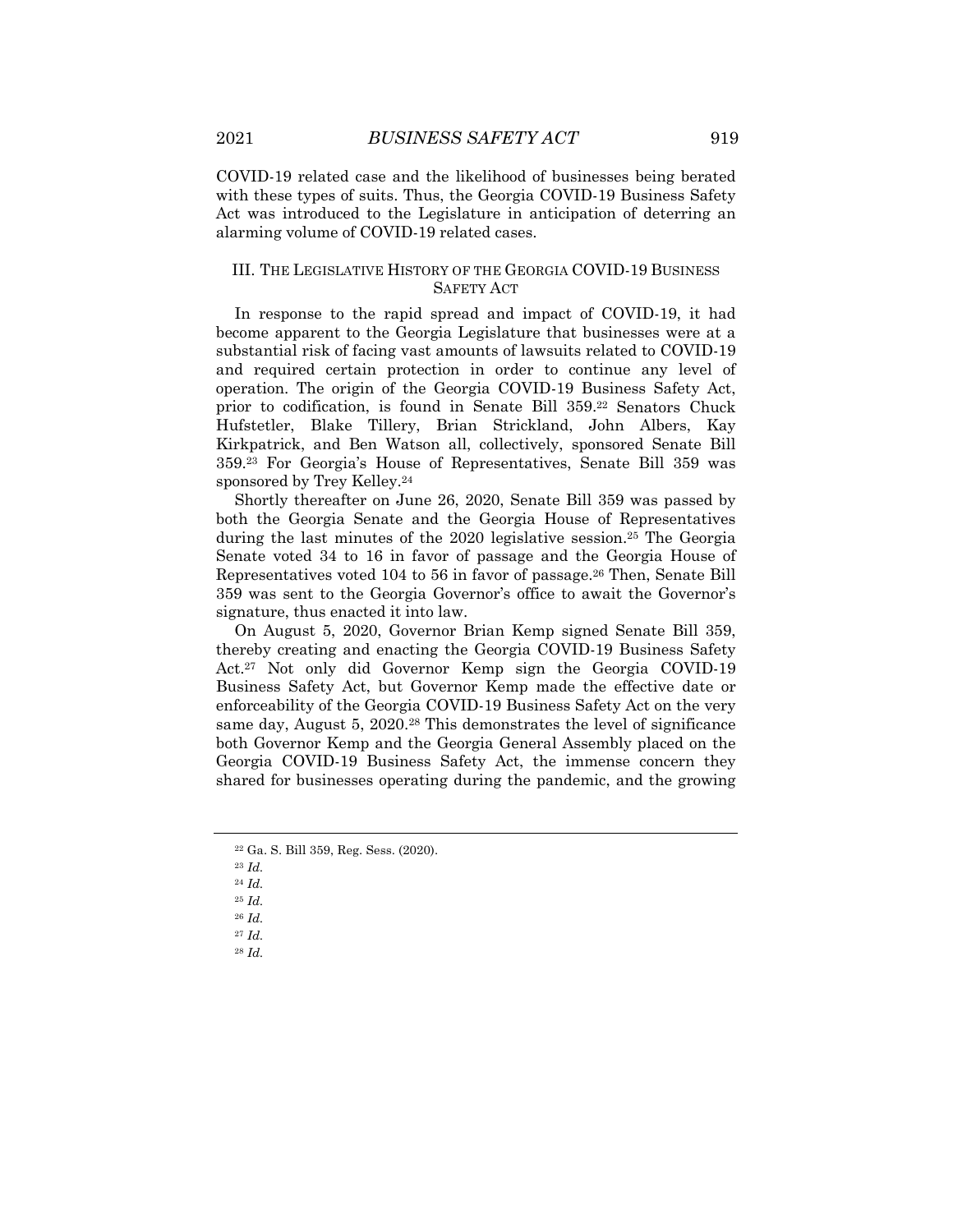COVID-19 related case and the likelihood of businesses being berated with these types of suits. Thus, the Georgia COVID-19 Business Safety Act was introduced to the Legislature in anticipation of deterring an alarming volume of COVID-19 related cases.

# III. THE LEGISLATIVE HISTORY OF THE GEORGIA COVID-19 BUSINESS SAFETY ACT

In response to the rapid spread and impact of COVID-19, it had become apparent to the Georgia Legislature that businesses were at a substantial risk of facing vast amounts of lawsuits related to COVID-19 and required certain protection in order to continue any level of operation. The origin of the Georgia COVID-19 Business Safety Act, prior to codification, is found in Senate Bill 359.22 Senators Chuck Hufstetler, Blake Tillery, Brian Strickland, John Albers, Kay Kirkpatrick, and Ben Watson all, collectively, sponsored Senate Bill 359.23 For Georgia's House of Representatives, Senate Bill 359 was sponsored by Trey Kelley.<sup>24</sup>

Shortly thereafter on June 26, 2020, Senate Bill 359 was passed by both the Georgia Senate and the Georgia House of Representatives during the last minutes of the 2020 legislative session.25 The Georgia Senate voted 34 to 16 in favor of passage and the Georgia House of Representatives voted 104 to 56 in favor of passage.26 Then, Senate Bill 359 was sent to the Georgia Governor's office to await the Governor's signature, thus enacted it into law.

On August 5, 2020, Governor Brian Kemp signed Senate Bill 359, thereby creating and enacting the Georgia COVID-19 Business Safety Act.27 Not only did Governor Kemp sign the Georgia COVID-19 Business Safety Act, but Governor Kemp made the effective date or enforceability of the Georgia COVID-19 Business Safety Act on the very same day, August 5, 2020.28 This demonstrates the level of significance both Governor Kemp and the Georgia General Assembly placed on the Georgia COVID-19 Business Safety Act, the immense concern they shared for businesses operating during the pandemic, and the growing

<sup>23</sup> *Id.*

<sup>25</sup> *Id.*

- <sup>26</sup> *Id.*
- <sup>27</sup> *Id.* <sup>28</sup> *Id.*

<sup>22</sup> Ga. S. Bill 359, Reg. Sess. (2020).

<sup>24</sup> *Id.*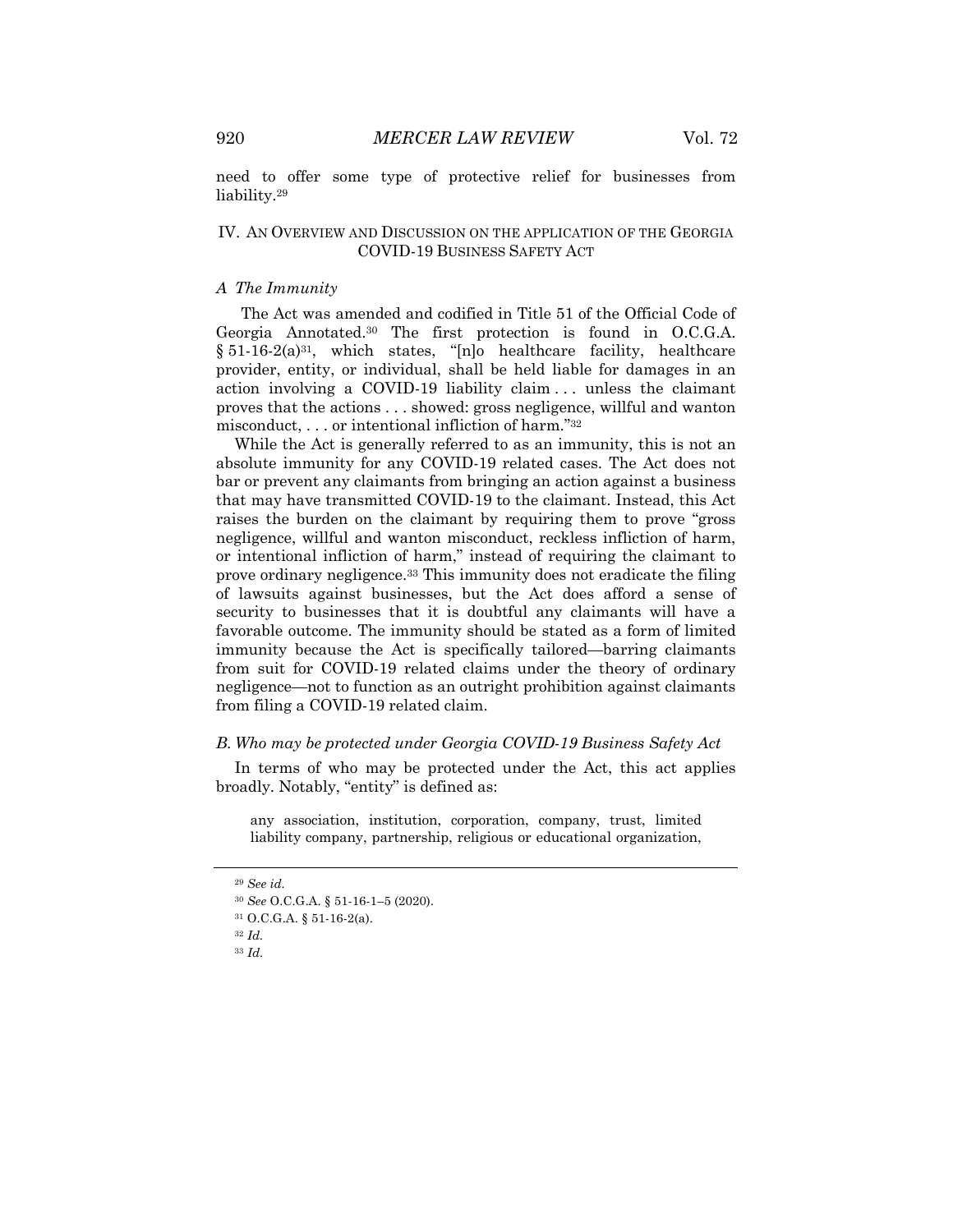need to offer some type of protective relief for businesses from liability.29

### IV. AN OVERVIEW AND DISCUSSION ON THE APPLICATION OF THE GEORGIA COVID-19 BUSINESS SAFETY ACT

#### *A The Immunity*

The Act was amended and codified in Title 51 of the Official Code of Georgia Annotated.30 The first protection is found in O.C.G.A.  $§ 51-16-2(a)<sup>31</sup>$ , which states, "[n]o healthcare facility, healthcare provider, entity, or individual, shall be held liable for damages in an action involving a COVID-19 liability claim . . . unless the claimant proves that the actions . . . showed: gross negligence, willful and wanton misconduct, . . . or intentional infliction of harm."32

While the Act is generally referred to as an immunity, this is not an absolute immunity for any COVID-19 related cases. The Act does not bar or prevent any claimants from bringing an action against a business that may have transmitted COVID-19 to the claimant. Instead, this Act raises the burden on the claimant by requiring them to prove "gross negligence, willful and wanton misconduct, reckless infliction of harm, or intentional infliction of harm," instead of requiring the claimant to prove ordinary negligence.33 This immunity does not eradicate the filing of lawsuits against businesses, but the Act does afford a sense of security to businesses that it is doubtful any claimants will have a favorable outcome. The immunity should be stated as a form of limited immunity because the Act is specifically tailored—barring claimants from suit for COVID-19 related claims under the theory of ordinary negligence—not to function as an outright prohibition against claimants from filing a COVID-19 related claim.

# *B. Who may be protected under Georgia COVID-19 Business Safety Act*

In terms of who may be protected under the Act, this act applies broadly. Notably, "entity" is defined as:

any association, institution, corporation, company, trust, limited liability company, partnership, religious or educational organization,

<sup>29</sup> *See id.*

<sup>30</sup> *See* O.C.G.A. § 51-16-1–5 (2020).

<sup>31</sup> O.C.G.A. § 51-16-2(a).

<sup>32</sup> *Id.*

<sup>33</sup> *Id.*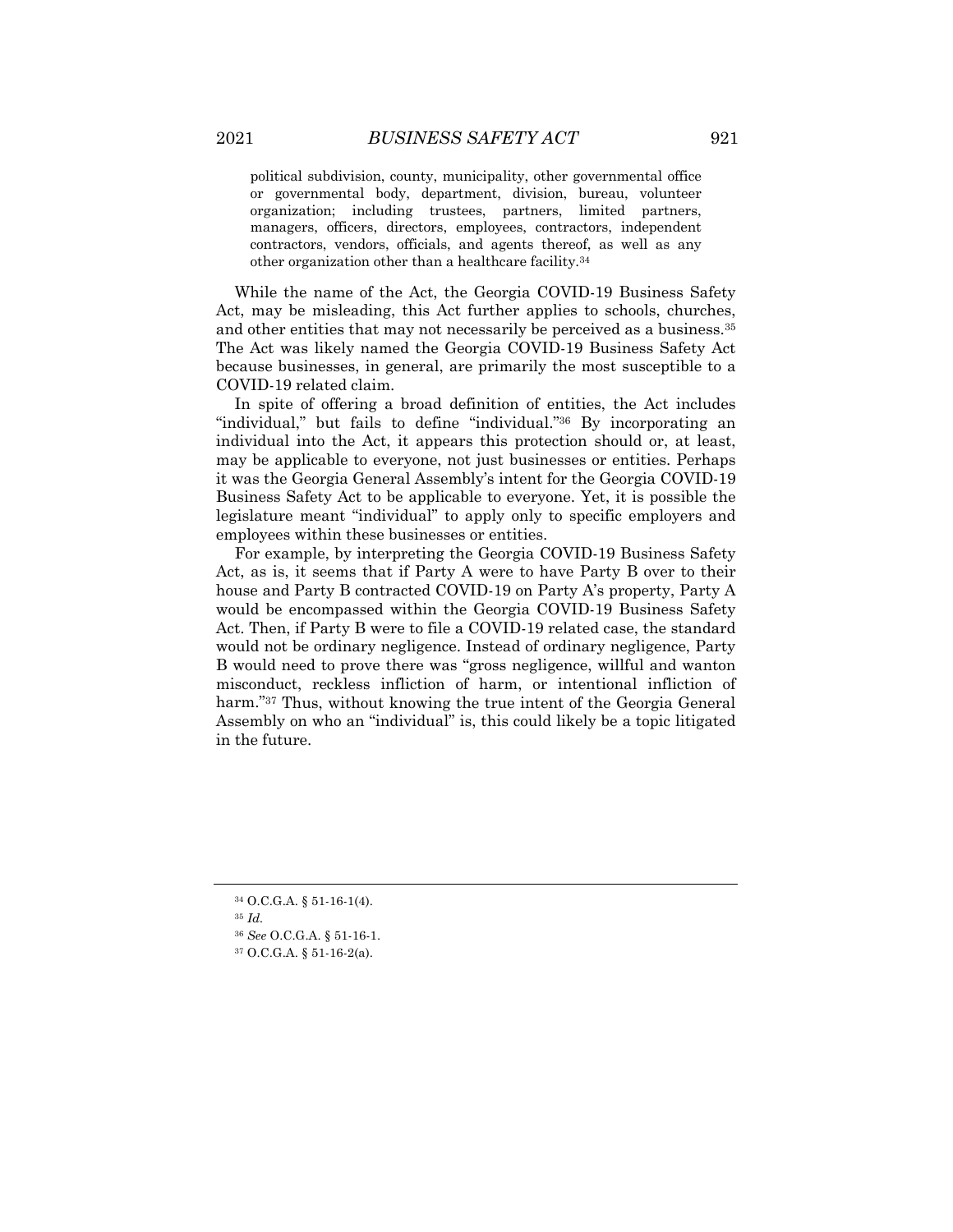political subdivision, county, municipality, other governmental office or governmental body, department, division, bureau, volunteer organization; including trustees, partners, limited partners, managers, officers, directors, employees, contractors, independent contractors, vendors, officials, and agents thereof, as well as any other organization other than a healthcare facility.34

While the name of the Act, the Georgia COVID-19 Business Safety Act, may be misleading, this Act further applies to schools, churches, and other entities that may not necessarily be perceived as a business.<sup>35</sup> The Act was likely named the Georgia COVID-19 Business Safety Act because businesses, in general, are primarily the most susceptible to a COVID-19 related claim.

In spite of offering a broad definition of entities, the Act includes "individual," but fails to define "individual."<sup>36</sup> By incorporating an individual into the Act, it appears this protection should or, at least, may be applicable to everyone, not just businesses or entities. Perhaps it was the Georgia General Assembly's intent for the Georgia COVID-19 Business Safety Act to be applicable to everyone. Yet, it is possible the legislature meant "individual" to apply only to specific employers and employees within these businesses or entities.

For example, by interpreting the Georgia COVID-19 Business Safety Act, as is, it seems that if Party A were to have Party B over to their house and Party B contracted COVID-19 on Party A's property, Party A would be encompassed within the Georgia COVID-19 Business Safety Act. Then, if Party B were to file a COVID-19 related case, the standard would not be ordinary negligence. Instead of ordinary negligence, Party B would need to prove there was "gross negligence, willful and wanton misconduct, reckless infliction of harm, or intentional infliction of harm."<sup>37</sup> Thus, without knowing the true intent of the Georgia General Assembly on who an "individual" is, this could likely be a topic litigated in the future.

<sup>34</sup> O.C.G.A. § 51-16-1(4).

<sup>35</sup> *Id.*

<sup>36</sup> *See* O.C.G.A. § 51-16-1.

<sup>37</sup> O.C.G.A. § 51-16-2(a).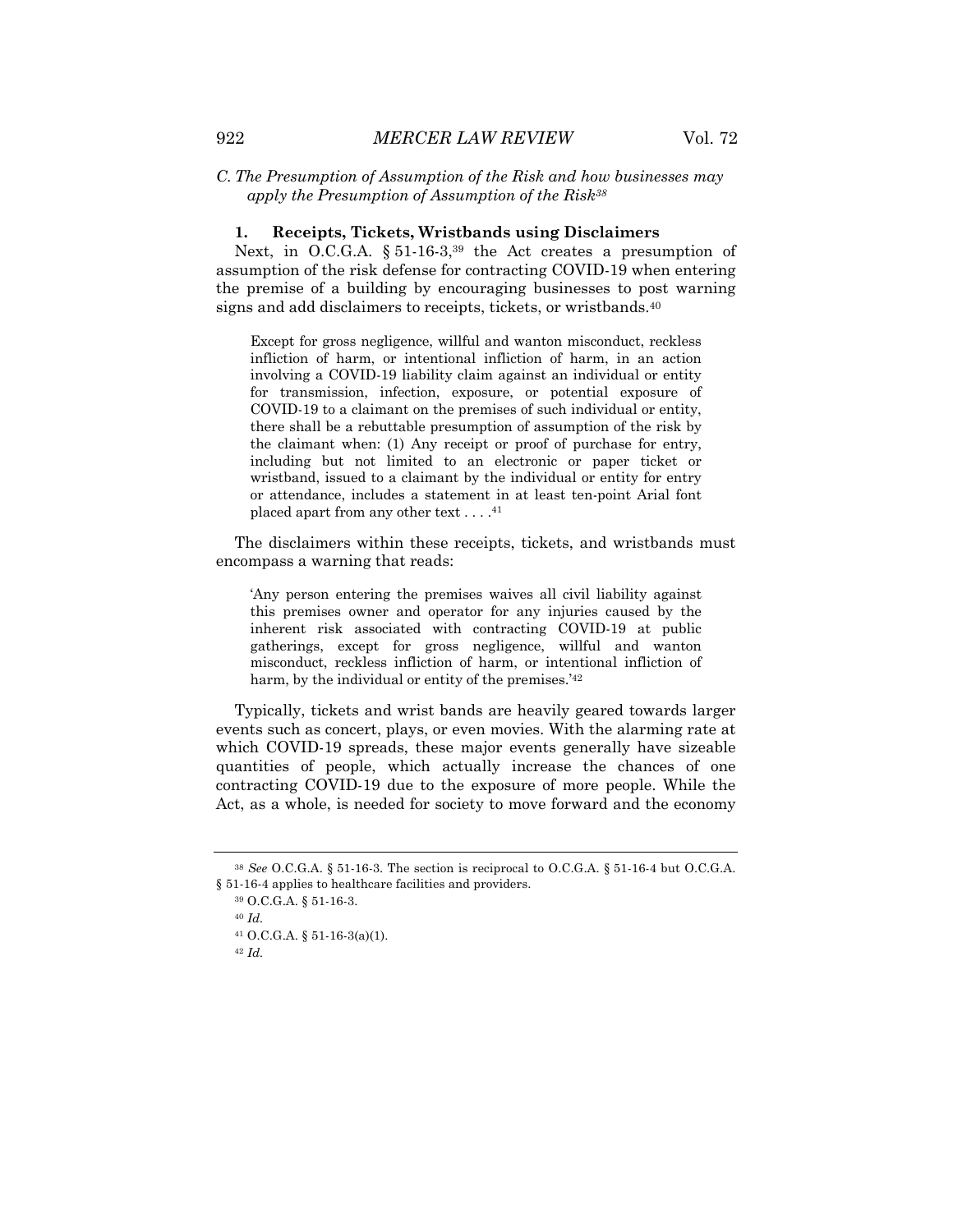#### **1. Receipts, Tickets, Wristbands using Disclaimers**

Next, in O.C.G.A. § 51-16-3,<sup>39</sup> the Act creates a presumption of assumption of the risk defense for contracting COVID-19 when entering the premise of a building by encouraging businesses to post warning signs and add disclaimers to receipts, tickets, or wristbands.40

Except for gross negligence, willful and wanton misconduct, reckless infliction of harm, or intentional infliction of harm, in an action involving a COVID-19 liability claim against an individual or entity for transmission, infection, exposure, or potential exposure of COVID-19 to a claimant on the premises of such individual or entity, there shall be a rebuttable presumption of assumption of the risk by the claimant when: (1) Any receipt or proof of purchase for entry, including but not limited to an electronic or paper ticket or wristband, issued to a claimant by the individual or entity for entry or attendance, includes a statement in at least ten-point Arial font placed apart from any other text . . . .<sup>41</sup>

The disclaimers within these receipts, tickets, and wristbands must encompass a warning that reads:

'Any person entering the premises waives all civil liability against this premises owner and operator for any injuries caused by the inherent risk associated with contracting COVID-19 at public gatherings, except for gross negligence, willful and wanton misconduct, reckless infliction of harm, or intentional infliction of harm, by the individual or entity of the premises.<sup>'42</sup>

Typically, tickets and wrist bands are heavily geared towards larger events such as concert, plays, or even movies. With the alarming rate at which COVID-19 spreads, these major events generally have sizeable quantities of people, which actually increase the chances of one contracting COVID-19 due to the exposure of more people. While the Act, as a whole, is needed for society to move forward and the economy

<sup>38</sup> *See* O.C.G.A. § 51-16-3. The section is reciprocal to O.C.G.A. § 51-16-4 but O.C.G.A. § 51-16-4 applies to healthcare facilities and providers.

<sup>39</sup> O.C.G.A. § 51-16-3.

<sup>40</sup> *Id.*

<sup>41</sup> O.C.G.A. § 51-16-3(a)(1).

<sup>42</sup> *Id.*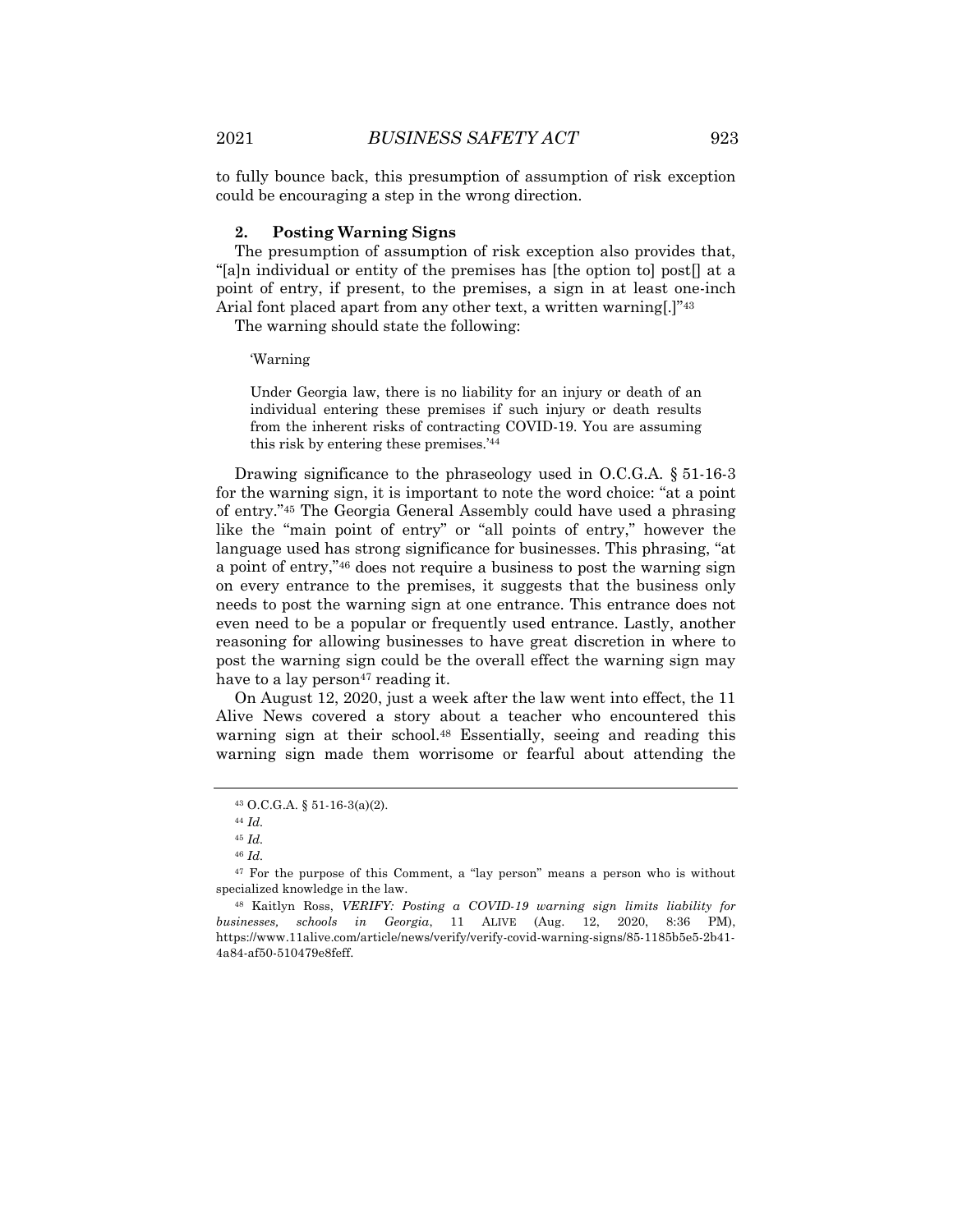to fully bounce back, this presumption of assumption of risk exception could be encouraging a step in the wrong direction.

#### **2. Posting Warning Signs**

The presumption of assumption of risk exception also provides that, "[a]n individual or entity of the premises has [the option to] post[] at a point of entry, if present, to the premises, a sign in at least one-inch Arial font placed apart from any other text, a written warning..."<sup>43</sup>

The warning should state the following:

'Warning

Under Georgia law, there is no liability for an injury or death of an individual entering these premises if such injury or death results from the inherent risks of contracting COVID-19. You are assuming this risk by entering these premises.'44

Drawing significance to the phraseology used in O.C.G.A. § 51-16-3 for the warning sign, it is important to note the word choice: "at a point of entry."45 The Georgia General Assembly could have used a phrasing like the "main point of entry" or "all points of entry," however the language used has strong significance for businesses. This phrasing, "at a point of entry,"46 does not require a business to post the warning sign on every entrance to the premises, it suggests that the business only needs to post the warning sign at one entrance. This entrance does not even need to be a popular or frequently used entrance. Lastly, another reasoning for allowing businesses to have great discretion in where to post the warning sign could be the overall effect the warning sign may have to a lay person<sup>47</sup> reading it.

On August 12, 2020, just a week after the law went into effect, the 11 Alive News covered a story about a teacher who encountered this warning sign at their school.48 Essentially, seeing and reading this warning sign made them worrisome or fearful about attending the

<sup>43</sup> O.C.G.A. § 51-16-3(a)(2).

<sup>44</sup> *Id.*

<sup>45</sup> *Id.*

<sup>46</sup> *Id.*

<sup>47</sup> For the purpose of this Comment, a "lay person" means a person who is without specialized knowledge in the law.

<sup>48</sup> Kaitlyn Ross, *VERIFY: Posting a COVID-19 warning sign limits liability for businesses, schools in Georgia*, 11 ALIVE (Aug. 12, 2020, 8:36 PM), https://www.11alive.com/article/news/verify/verify-covid-warning-signs/85-1185b5e5-2b41- 4a84-af50-510479e8feff.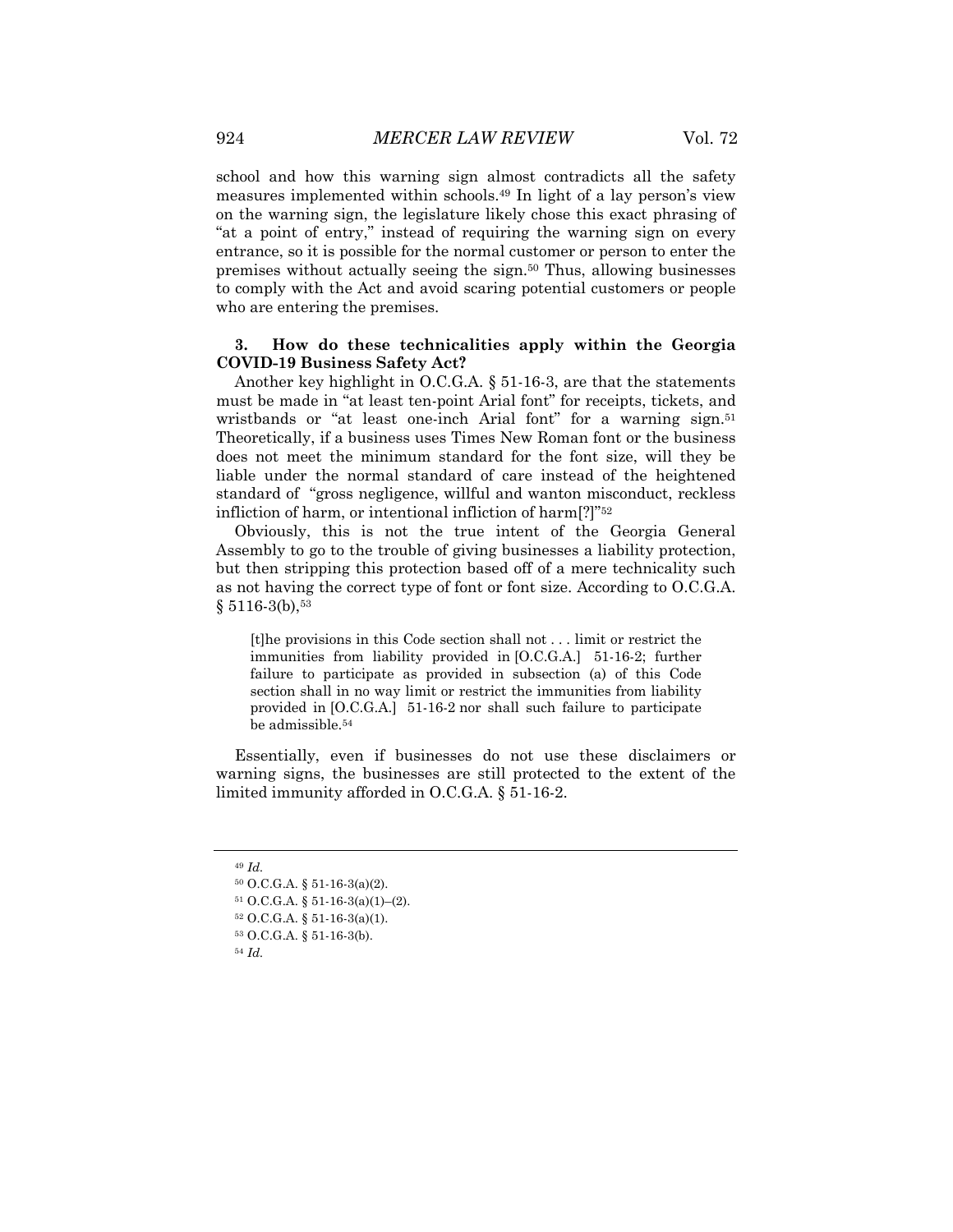school and how this warning sign almost contradicts all the safety measures implemented within schools.49 In light of a lay person's view on the warning sign, the legislature likely chose this exact phrasing of "at a point of entry," instead of requiring the warning sign on every entrance, so it is possible for the normal customer or person to enter the premises without actually seeing the sign.50 Thus, allowing businesses to comply with the Act and avoid scaring potential customers or people who are entering the premises.

# **3. How do these technicalities apply within the Georgia COVID-19 Business Safety Act?**

Another key highlight in O.C.G.A. § 51-16-3, are that the statements must be made in "at least ten-point Arial font" for receipts, tickets, and wristbands or "at least one-inch Arial font" for a warning sign.<sup>51</sup> Theoretically, if a business uses Times New Roman font or the business does not meet the minimum standard for the font size, will they be liable under the normal standard of care instead of the heightened standard of "gross negligence, willful and wanton misconduct, reckless infliction of harm, or intentional infliction of harm[?]"52

Obviously, this is not the true intent of the Georgia General Assembly to go to the trouble of giving businesses a liability protection, but then stripping this protection based off of a mere technicality such as not having the correct type of font or font size. According to O.C.G.A.  $§ 5116-3(b), $^{53}$ 

[t]he provisions in this Code section shall not . . . limit or restrict the immunities from liability provided in [O.C.G.A.] 51-16-2; further failure to participate as provided in subsection (a) of this Code section shall in no way limit or restrict the immunities from liability provided in [O.C.G.A.] 51-16-2 nor shall such failure to participate be admissible.54

Essentially, even if businesses do not use these disclaimers or warning signs, the businesses are still protected to the extent of the limited immunity afforded in O.C.G.A. § 51-16-2.

<sup>49</sup> *Id.*

<sup>50</sup> O.C.G.A. § 51-16-3(a)(2).

<sup>51</sup> O.C.G.A. § 51-16-3(a)(1)–(2).

 $52$  O.C.G.A. § 51-16-3(a)(1).

<sup>53</sup> O.C.G.A. § 51-16-3(b).

<sup>54</sup> *Id.*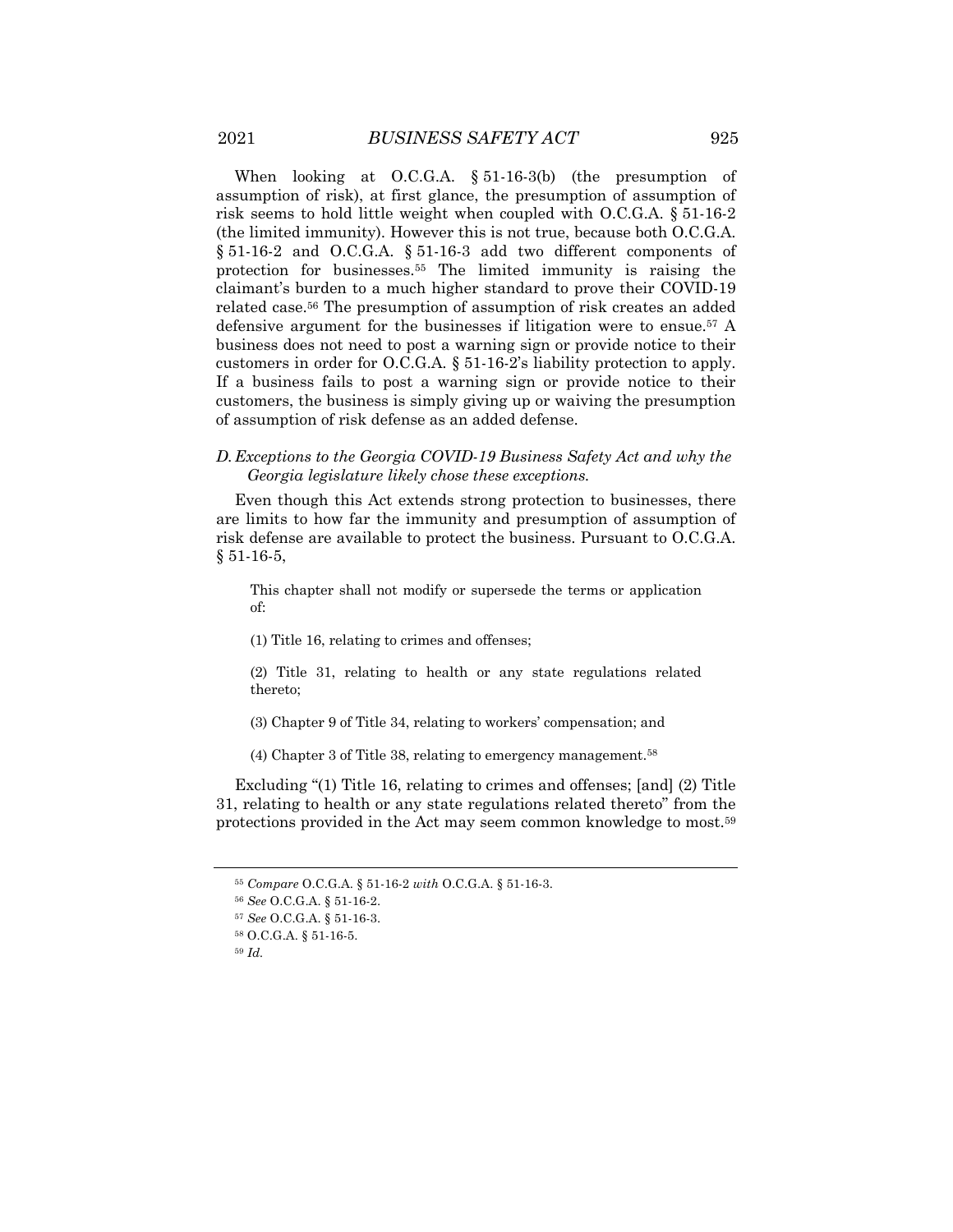When looking at O.C.G.A. § 51-16-3(b) (the presumption of assumption of risk), at first glance, the presumption of assumption of risk seems to hold little weight when coupled with O.C.G.A. § 51-16-2 (the limited immunity). However this is not true, because both O.C.G.A. § 51-16-2 and O.C.G.A. § 51-16-3 add two different components of protection for businesses.55 The limited immunity is raising the claimant's burden to a much higher standard to prove their COVID-19 related case.56 The presumption of assumption of risk creates an added defensive argument for the businesses if litigation were to ensue.57 A business does not need to post a warning sign or provide notice to their customers in order for O.C.G.A. § 51-16-2's liability protection to apply. If a business fails to post a warning sign or provide notice to their customers, the business is simply giving up or waiving the presumption of assumption of risk defense as an added defense.

### *D.Exceptions to the Georgia COVID-19 Business Safety Act and why the Georgia legislature likely chose these exceptions.*

Even though this Act extends strong protection to businesses, there are limits to how far the immunity and presumption of assumption of risk defense are available to protect the business. Pursuant to O.C.G.A. § 51-16-5,

This chapter shall not modify or supersede the terms or application of:

(1) Title 16, relating to crimes and offenses;

(2) Title 31, relating to health or any state regulations related thereto;

(3) Chapter 9 of Title 34, relating to workers' compensation; and

(4) Chapter 3 of Title 38, relating to emergency management.58

Excluding "(1) Title 16, relating to crimes and offenses; [and] (2) Title 31, relating to health or any state regulations related thereto" from the protections provided in the Act may seem common knowledge to most.59

<sup>55</sup> *Compare* O.C.G.A. § 51-16-2 *with* O.C.G.A. § 51-16-3.

<sup>56</sup> *See* O.C.G.A. § 51-16-2.

<sup>57</sup> *See* O.C.G.A. § 51-16-3.

<sup>58</sup> O.C.G.A. § 51-16-5.

<sup>59</sup> *Id.*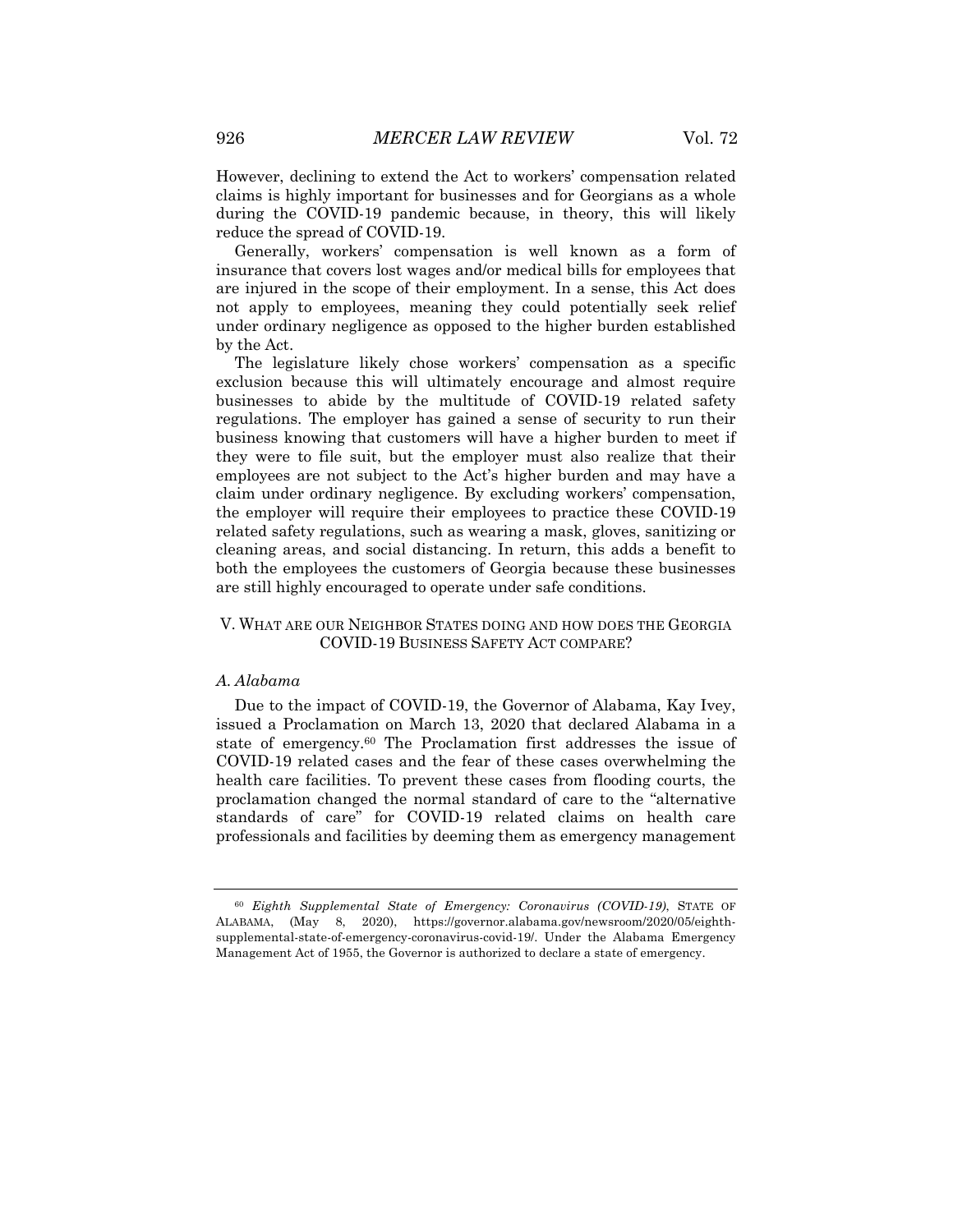However, declining to extend the Act to workers' compensation related claims is highly important for businesses and for Georgians as a whole during the COVID-19 pandemic because, in theory, this will likely reduce the spread of COVID-19.

Generally, workers' compensation is well known as a form of insurance that covers lost wages and/or medical bills for employees that are injured in the scope of their employment. In a sense, this Act does not apply to employees, meaning they could potentially seek relief under ordinary negligence as opposed to the higher burden established by the Act.

The legislature likely chose workers' compensation as a specific exclusion because this will ultimately encourage and almost require businesses to abide by the multitude of COVID-19 related safety regulations. The employer has gained a sense of security to run their business knowing that customers will have a higher burden to meet if they were to file suit, but the employer must also realize that their employees are not subject to the Act's higher burden and may have a claim under ordinary negligence. By excluding workers' compensation, the employer will require their employees to practice these COVID-19 related safety regulations, such as wearing a mask, gloves, sanitizing or cleaning areas, and social distancing. In return, this adds a benefit to both the employees the customers of Georgia because these businesses are still highly encouraged to operate under safe conditions.

# V. WHAT ARE OUR NEIGHBOR STATES DOING AND HOW DOES THE GEORGIA COVID-19 BUSINESS SAFETY ACT COMPARE?

#### *A. Alabama*

Due to the impact of COVID-19, the Governor of Alabama, Kay Ivey, issued a Proclamation on March 13, 2020 that declared Alabama in a state of emergency.60 The Proclamation first addresses the issue of COVID-19 related cases and the fear of these cases overwhelming the health care facilities. To prevent these cases from flooding courts, the proclamation changed the normal standard of care to the "alternative standards of care" for COVID-19 related claims on health care professionals and facilities by deeming them as emergency management

<sup>60</sup> *Eighth Supplemental State of Emergency: Coronavirus (COVID-19)*, STATE OF ALABAMA, (May 8, 2020), https://governor.alabama.gov/newsroom/2020/05/eighthsupplemental-state-of-emergency-coronavirus-covid-19/. Under the Alabama Emergency Management Act of 1955, the Governor is authorized to declare a state of emergency.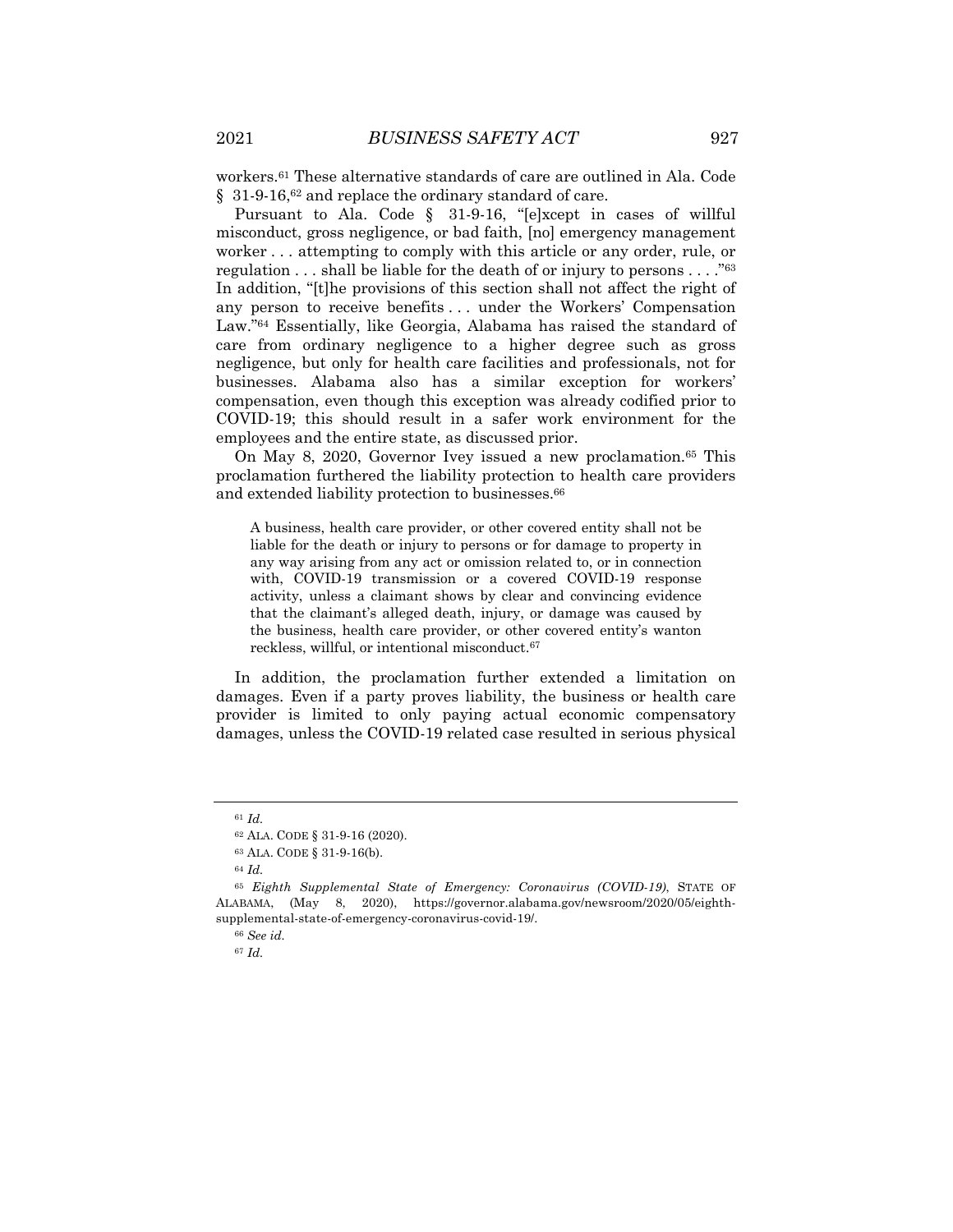workers.61 These alternative standards of care are outlined in Ala. Code § 31-9-16,<sup>62</sup> and replace the ordinary standard of care.

Pursuant to Ala. Code § 31-9-16, "[e]xcept in cases of willful misconduct, gross negligence, or bad faith, [no] emergency management worker . . . attempting to comply with this article or any order, rule, or regulation . . . shall be liable for the death of or injury to persons . . . . "<sup>63</sup> In addition, "[t]he provisions of this section shall not affect the right of any person to receive benefits . . . under the Workers' Compensation Law."64 Essentially, like Georgia, Alabama has raised the standard of care from ordinary negligence to a higher degree such as gross negligence, but only for health care facilities and professionals, not for businesses. Alabama also has a similar exception for workers' compensation, even though this exception was already codified prior to COVID-19; this should result in a safer work environment for the employees and the entire state, as discussed prior.

On May 8, 2020, Governor Ivey issued a new proclamation.65 This proclamation furthered the liability protection to health care providers and extended liability protection to businesses.66

A business, health care provider, or other covered entity shall not be liable for the death or injury to persons or for damage to property in any way arising from any act or omission related to, or in connection with, COVID-19 transmission or a covered COVID-19 response activity, unless a claimant shows by clear and convincing evidence that the claimant's alleged death, injury, or damage was caused by the business, health care provider, or other covered entity's wanton reckless, willful, or intentional misconduct.67

In addition, the proclamation further extended a limitation on damages. Even if a party proves liability, the business or health care provider is limited to only paying actual economic compensatory damages, unless the COVID-19 related case resulted in serious physical

<sup>61</sup> *Id.*

<sup>62</sup> ALA. CODE § 31-9-16 (2020).

<sup>63</sup> ALA. CODE § 31-9-16(b).

<sup>64</sup> *Id.*

<sup>65</sup> *Eighth Supplemental State of Emergency: Coronavirus (COVID-19)*, STATE OF ALABAMA, (May 8, 2020), https://governor.alabama.gov/newsroom/2020/05/eighthsupplemental-state-of-emergency-coronavirus-covid-19/.

<sup>66</sup> *See id.*

<sup>67</sup> *Id.*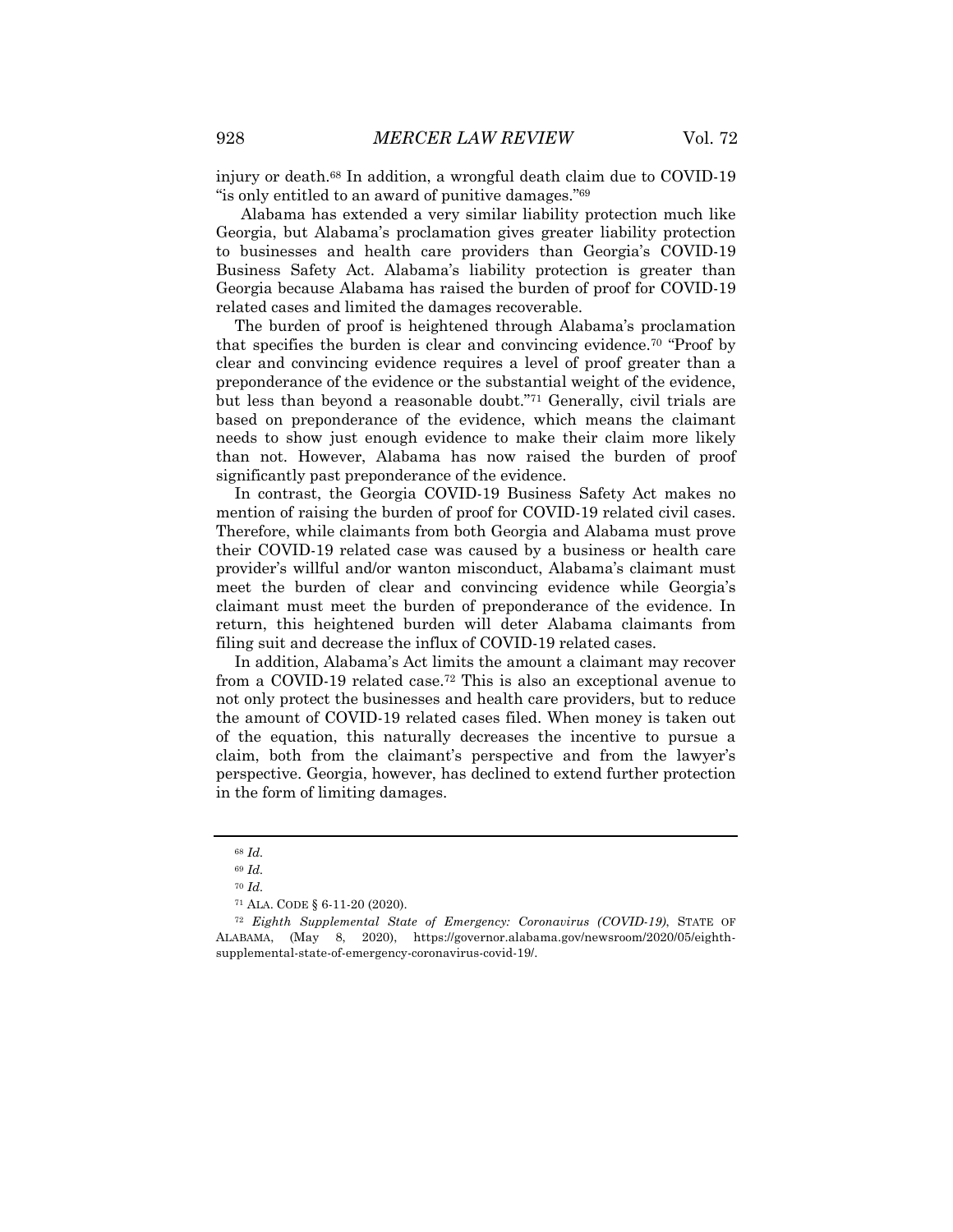injury or death.68 In addition, a wrongful death claim due to COVID-19 "is only entitled to an award of punitive damages."69

Alabama has extended a very similar liability protection much like Georgia, but Alabama's proclamation gives greater liability protection to businesses and health care providers than Georgia's COVID-19 Business Safety Act. Alabama's liability protection is greater than Georgia because Alabama has raised the burden of proof for COVID-19 related cases and limited the damages recoverable.

The burden of proof is heightened through Alabama's proclamation that specifies the burden is clear and convincing evidence.70 "Proof by clear and convincing evidence requires a level of proof greater than a preponderance of the evidence or the substantial weight of the evidence, but less than beyond a reasonable doubt."71 Generally, civil trials are based on preponderance of the evidence, which means the claimant needs to show just enough evidence to make their claim more likely than not. However, Alabama has now raised the burden of proof significantly past preponderance of the evidence.

In contrast, the Georgia COVID-19 Business Safety Act makes no mention of raising the burden of proof for COVID-19 related civil cases. Therefore, while claimants from both Georgia and Alabama must prove their COVID-19 related case was caused by a business or health care provider's willful and/or wanton misconduct, Alabama's claimant must meet the burden of clear and convincing evidence while Georgia's claimant must meet the burden of preponderance of the evidence. In return, this heightened burden will deter Alabama claimants from filing suit and decrease the influx of COVID-19 related cases.

In addition, Alabama's Act limits the amount a claimant may recover from a COVID-19 related case.72 This is also an exceptional avenue to not only protect the businesses and health care providers, but to reduce the amount of COVID-19 related cases filed. When money is taken out of the equation, this naturally decreases the incentive to pursue a claim, both from the claimant's perspective and from the lawyer's perspective. Georgia, however, has declined to extend further protection in the form of limiting damages.

<sup>68</sup> *Id.*

<sup>69</sup> *Id.*

<sup>70</sup> *Id.*

<sup>71</sup> ALA. CODE § 6-11-20 (2020).

<sup>72</sup> *Eighth Supplemental State of Emergency: Coronavirus (COVID-19)*, STATE OF ALABAMA, (May 8, 2020), https://governor.alabama.gov/newsroom/2020/05/eighthsupplemental-state-of-emergency-coronavirus-covid-19/.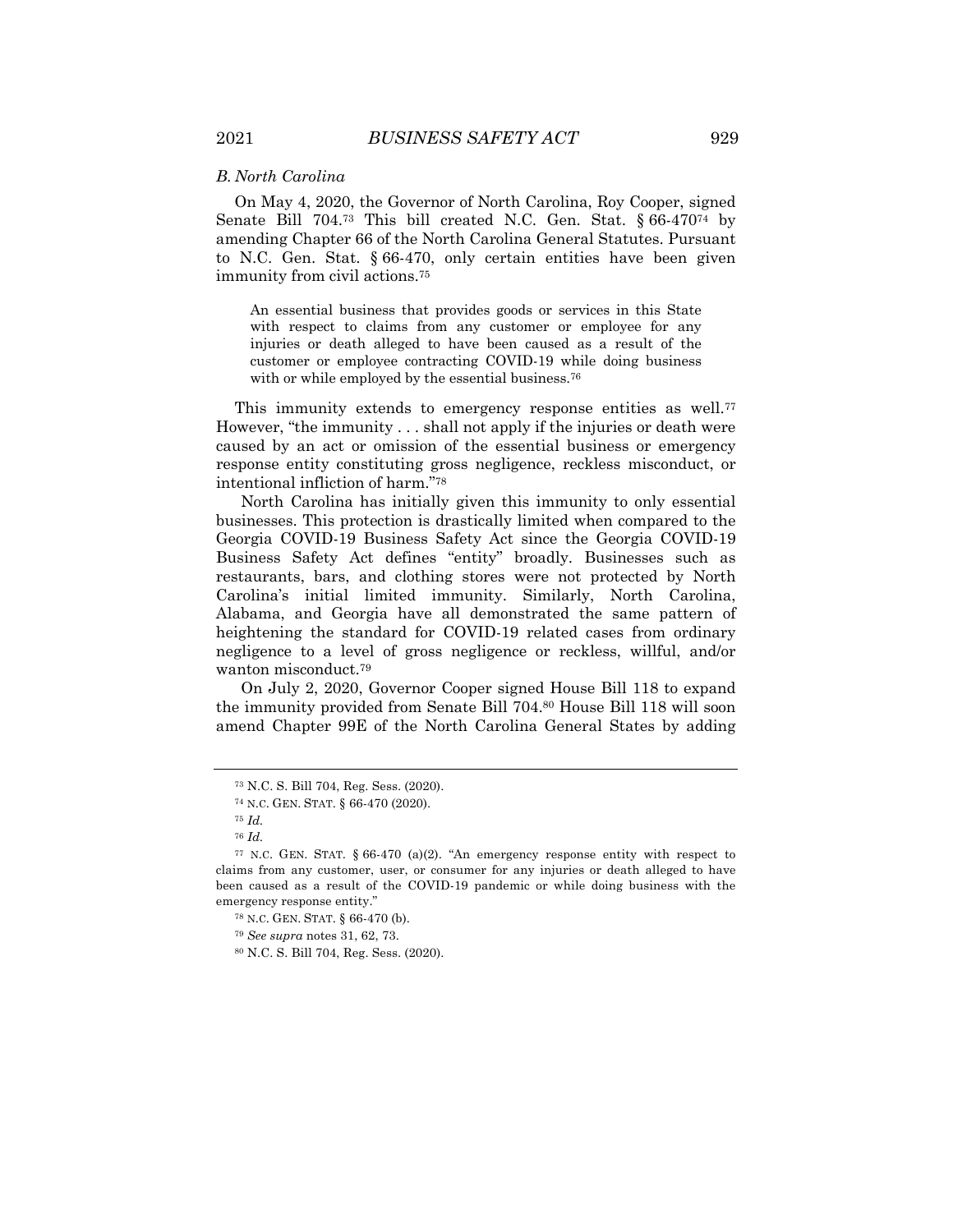#### *B. North Carolina*

On May 4, 2020, the Governor of North Carolina, Roy Cooper, signed Senate Bill 704.73 This bill created N.C. Gen. Stat. § 66-47074 by amending Chapter 66 of the North Carolina General Statutes. Pursuant to N.C. Gen. Stat. § 66-470, only certain entities have been given immunity from civil actions.75

An essential business that provides goods or services in this State with respect to claims from any customer or employee for any injuries or death alleged to have been caused as a result of the customer or employee contracting COVID-19 while doing business with or while employed by the essential business.<sup>76</sup>

This immunity extends to emergency response entities as well.<sup>77</sup> However, "the immunity . . . shall not apply if the injuries or death were caused by an act or omission of the essential business or emergency response entity constituting gross negligence, reckless misconduct, or intentional infliction of harm."78

North Carolina has initially given this immunity to only essential businesses. This protection is drastically limited when compared to the Georgia COVID-19 Business Safety Act since the Georgia COVID-19 Business Safety Act defines "entity" broadly. Businesses such as restaurants, bars, and clothing stores were not protected by North Carolina's initial limited immunity. Similarly, North Carolina, Alabama, and Georgia have all demonstrated the same pattern of heightening the standard for COVID-19 related cases from ordinary negligence to a level of gross negligence or reckless, willful, and/or wanton misconduct.79

On July 2, 2020, Governor Cooper signed House Bill 118 to expand the immunity provided from Senate Bill 704.80 House Bill 118 will soon amend Chapter 99E of the North Carolina General States by adding

<sup>73</sup> N.C. S. Bill 704, Reg. Sess. (2020).

<sup>74</sup> N.C. GEN. STAT. § 66-470 (2020).

<sup>75</sup> *Id.*

<sup>76</sup> *Id.*

<sup>&</sup>lt;sup>77</sup> N.C. GEN. STAT.  $\S 66-470$  (a)(2). "An emergency response entity with respect to claims from any customer, user, or consumer for any injuries or death alleged to have been caused as a result of the COVID-19 pandemic or while doing business with the emergency response entity."

<sup>78</sup> N.C. GEN. STAT. § 66-470 (b).

<sup>79</sup> *See supra* notes 31, 62, 73.

<sup>80</sup> N.C. S. Bill 704, Reg. Sess. (2020).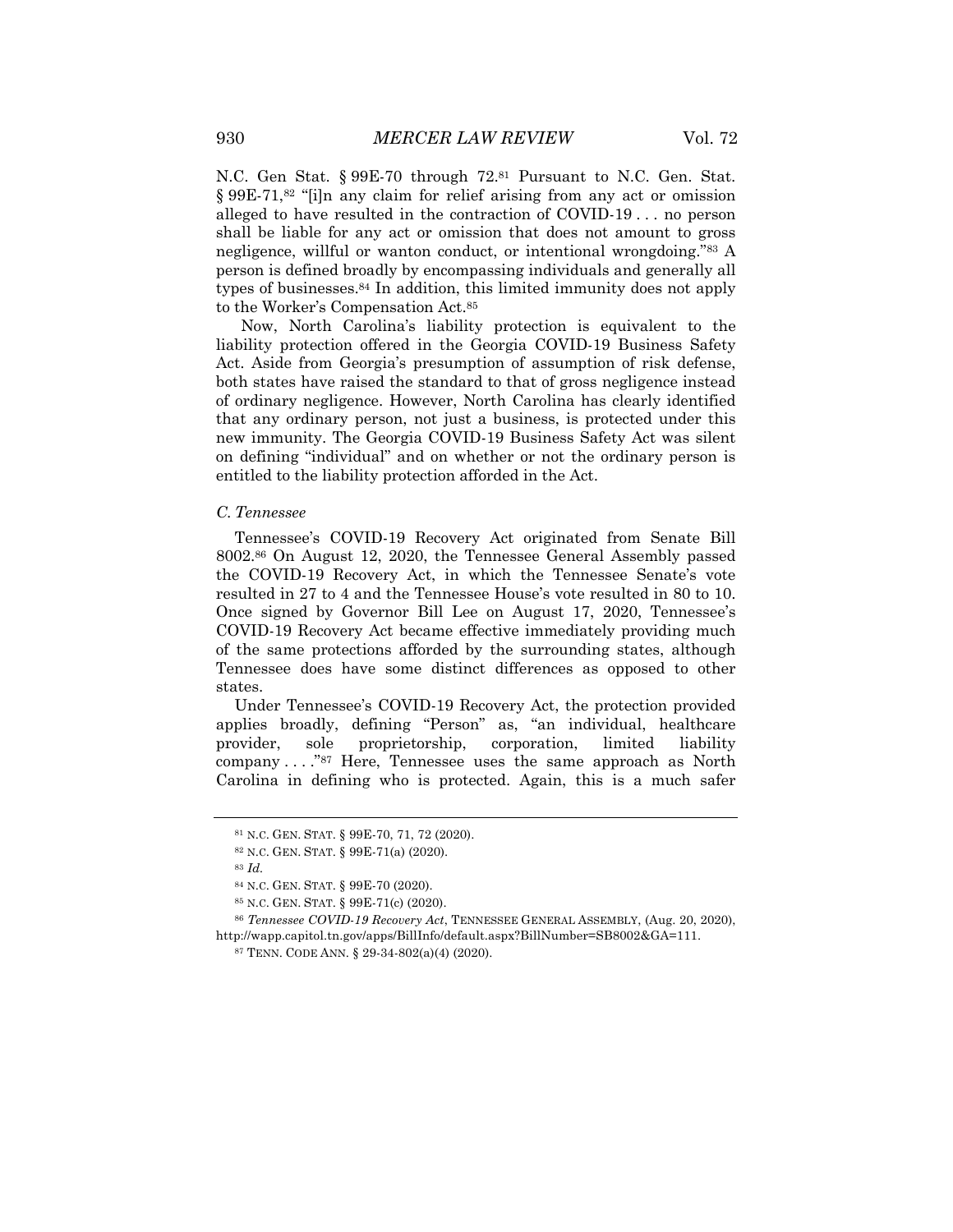N.C. Gen Stat. § 99E-70 through 72.81 Pursuant to N.C. Gen. Stat. § 99E-71,82 "[i]n any claim for relief arising from any act or omission alleged to have resulted in the contraction of COVID-19 . . . no person shall be liable for any act or omission that does not amount to gross negligence, willful or wanton conduct, or intentional wrongdoing."83 A person is defined broadly by encompassing individuals and generally all types of businesses.84 In addition, this limited immunity does not apply to the Worker's Compensation Act.85

Now, North Carolina's liability protection is equivalent to the liability protection offered in the Georgia COVID-19 Business Safety Act. Aside from Georgia's presumption of assumption of risk defense, both states have raised the standard to that of gross negligence instead of ordinary negligence. However, North Carolina has clearly identified that any ordinary person, not just a business, is protected under this new immunity. The Georgia COVID-19 Business Safety Act was silent on defining "individual" and on whether or not the ordinary person is entitled to the liability protection afforded in the Act.

#### *C. Tennessee*

Tennessee's COVID-19 Recovery Act originated from Senate Bill 8002.86 On August 12, 2020, the Tennessee General Assembly passed the COVID-19 Recovery Act, in which the Tennessee Senate's vote resulted in 27 to 4 and the Tennessee House's vote resulted in 80 to 10. Once signed by Governor Bill Lee on August 17, 2020, Tennessee's COVID-19 Recovery Act became effective immediately providing much of the same protections afforded by the surrounding states, although Tennessee does have some distinct differences as opposed to other states.

Under Tennessee's COVID-19 Recovery Act, the protection provided applies broadly, defining "Person" as, "an individual, healthcare provider, sole proprietorship, corporation, limited liability company . . . ."87 Here, Tennessee uses the same approach as North Carolina in defining who is protected. Again, this is a much safer

<sup>81</sup> N.C. GEN. STAT. § 99E-70, 71, 72 (2020).

<sup>82</sup> N.C. GEN. STAT. § 99E-71(a) (2020).

<sup>83</sup> *Id.*

<sup>84</sup> N.C. GEN. STAT. § 99E-70 (2020).

<sup>85</sup> N.C. GEN. STAT. § 99E-71(c) (2020).

<sup>86</sup> *Tennessee COVID-19 Recovery Act*, TENNESSEE GENERAL ASSEMBLY, (Aug. 20, 2020), http://wapp.capitol.tn.gov/apps/BillInfo/default.aspx?BillNumber=SB8002&GA=111.

<sup>87</sup> TENN. CODE ANN. § 29-34-802(a)(4) (2020).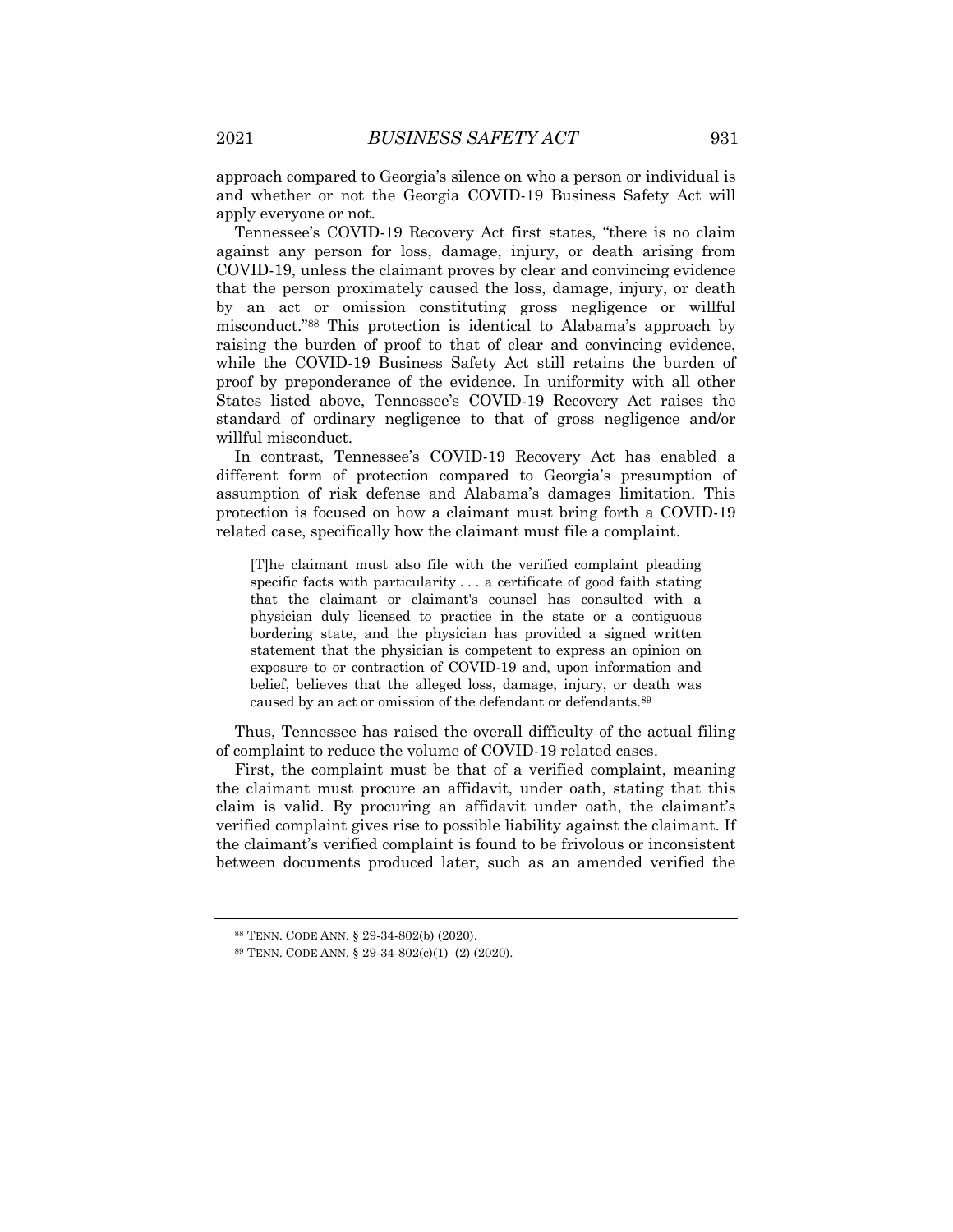approach compared to Georgia's silence on who a person or individual is and whether or not the Georgia COVID-19 Business Safety Act will apply everyone or not.

Tennessee's COVID-19 Recovery Act first states, "there is no claim against any person for loss, damage, injury, or death arising from COVID-19, unless the claimant proves by clear and convincing evidence that the person proximately caused the loss, damage, injury, or death by an act or omission constituting gross negligence or willful misconduct."88 This protection is identical to Alabama's approach by raising the burden of proof to that of clear and convincing evidence, while the COVID-19 Business Safety Act still retains the burden of proof by preponderance of the evidence. In uniformity with all other States listed above, Tennessee's COVID-19 Recovery Act raises the standard of ordinary negligence to that of gross negligence and/or willful misconduct.

In contrast, Tennessee's COVID-19 Recovery Act has enabled a different form of protection compared to Georgia's presumption of assumption of risk defense and Alabama's damages limitation. This protection is focused on how a claimant must bring forth a COVID-19 related case, specifically how the claimant must file a complaint.

[T]he claimant must also file with the verified complaint pleading specific facts with particularity . . . a certificate of good faith stating that the claimant or claimant's counsel has consulted with a physician duly licensed to practice in the state or a contiguous bordering state, and the physician has provided a signed written statement that the physician is competent to express an opinion on exposure to or contraction of COVID-19 and, upon information and belief, believes that the alleged loss, damage, injury, or death was caused by an act or omission of the defendant or defendants.89

Thus, Tennessee has raised the overall difficulty of the actual filing of complaint to reduce the volume of COVID-19 related cases.

First, the complaint must be that of a verified complaint, meaning the claimant must procure an affidavit, under oath, stating that this claim is valid. By procuring an affidavit under oath, the claimant's verified complaint gives rise to possible liability against the claimant. If the claimant's verified complaint is found to be frivolous or inconsistent between documents produced later, such as an amended verified the

<sup>88</sup> TENN. CODE ANN. § 29-34-802(b) (2020).

<sup>89</sup> TENN. CODE ANN. § 29-34-802(c)(1)–(2) (2020).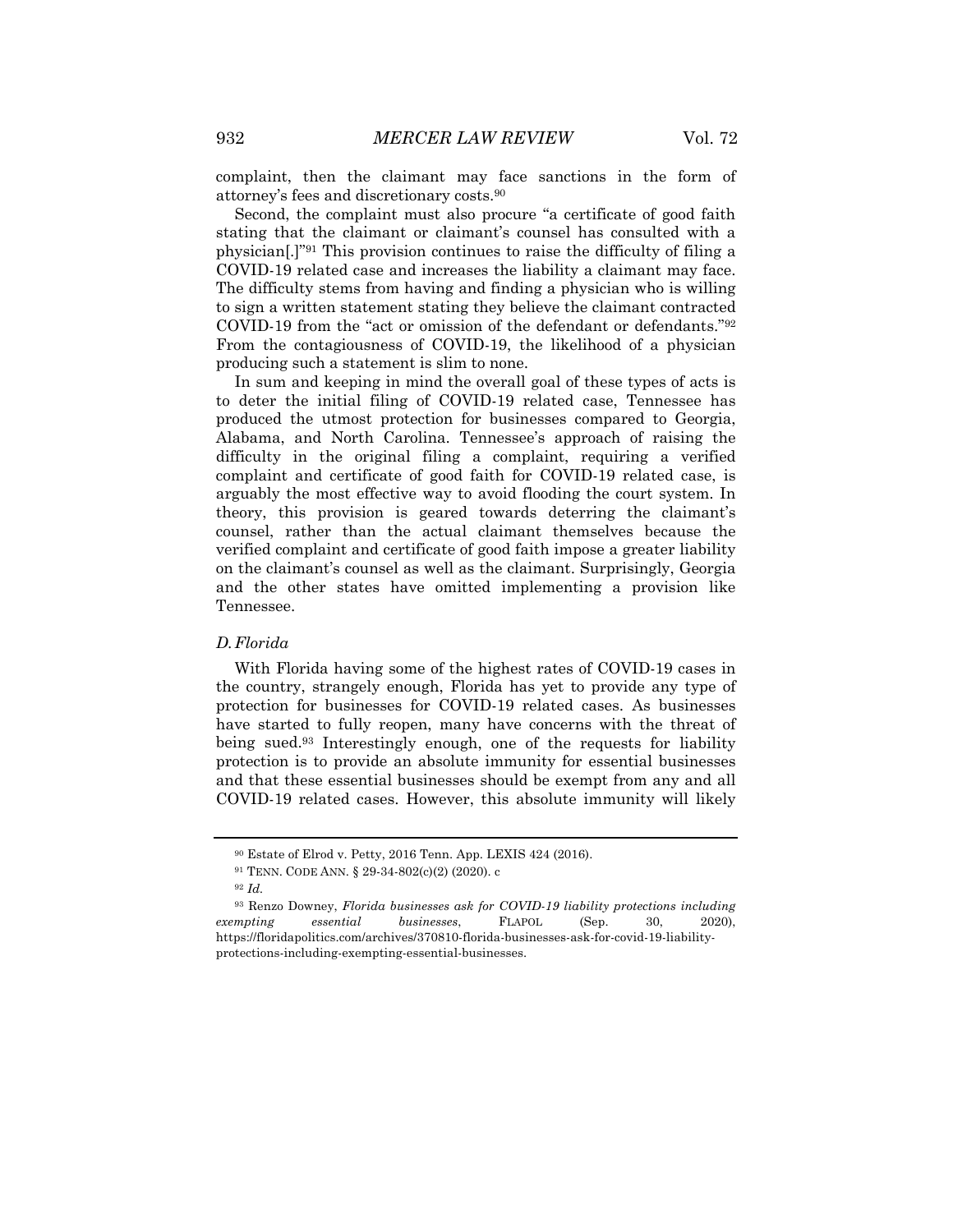complaint, then the claimant may face sanctions in the form of attorney's fees and discretionary costs.90

Second, the complaint must also procure "a certificate of good faith stating that the claimant or claimant's counsel has consulted with a physician[.]"91 This provision continues to raise the difficulty of filing a COVID-19 related case and increases the liability a claimant may face. The difficulty stems from having and finding a physician who is willing to sign a written statement stating they believe the claimant contracted COVID-19 from the "act or omission of the defendant or defendants."92 From the contagiousness of COVID-19, the likelihood of a physician producing such a statement is slim to none.

In sum and keeping in mind the overall goal of these types of acts is to deter the initial filing of COVID-19 related case, Tennessee has produced the utmost protection for businesses compared to Georgia, Alabama, and North Carolina. Tennessee's approach of raising the difficulty in the original filing a complaint, requiring a verified complaint and certificate of good faith for COVID-19 related case, is arguably the most effective way to avoid flooding the court system. In theory, this provision is geared towards deterring the claimant's counsel, rather than the actual claimant themselves because the verified complaint and certificate of good faith impose a greater liability on the claimant's counsel as well as the claimant. Surprisingly, Georgia and the other states have omitted implementing a provision like Tennessee.

# *D.Florida*

With Florida having some of the highest rates of COVID-19 cases in the country, strangely enough, Florida has yet to provide any type of protection for businesses for COVID-19 related cases. As businesses have started to fully reopen, many have concerns with the threat of being sued.93 Interestingly enough, one of the requests for liability protection is to provide an absolute immunity for essential businesses and that these essential businesses should be exempt from any and all COVID-19 related cases. However, this absolute immunity will likely

<sup>90</sup> Estate of Elrod v. Petty, 2016 Tenn. App. LEXIS 424 (2016).

<sup>91</sup> TENN. CODE ANN. § 29-34-802(c)(2) (2020). c

<sup>92</sup> *Id.*

<sup>93</sup> Renzo Downey, *Florida businesses ask for COVID-19 liability protections including exempting essential businesses*, FLAPOL (Sep. 30, 2020), https://floridapolitics.com/archives/370810-florida-businesses-ask-for-covid-19-liabilityprotections-including-exempting-essential-businesses.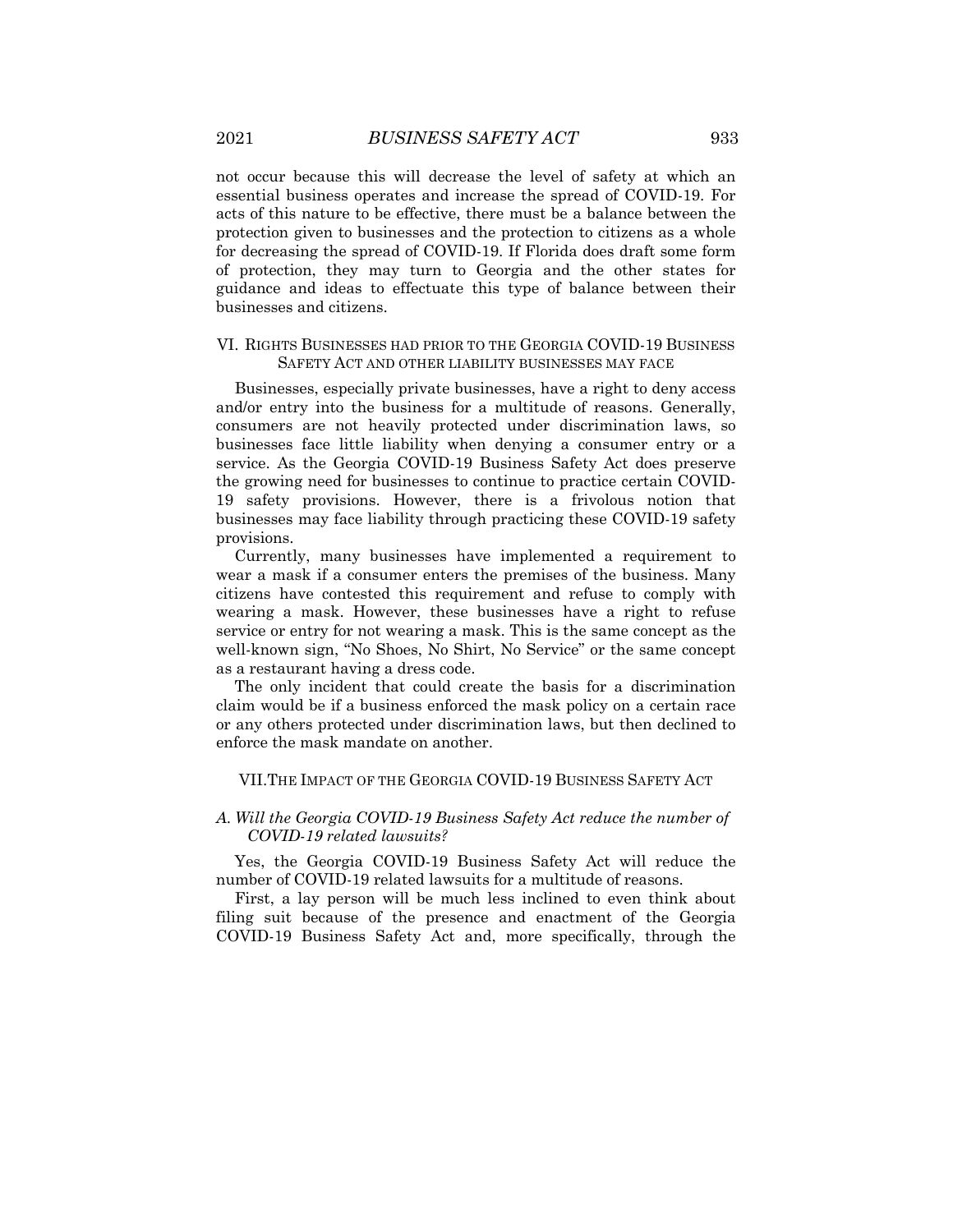not occur because this will decrease the level of safety at which an essential business operates and increase the spread of COVID-19. For acts of this nature to be effective, there must be a balance between the protection given to businesses and the protection to citizens as a whole for decreasing the spread of COVID-19. If Florida does draft some form of protection, they may turn to Georgia and the other states for guidance and ideas to effectuate this type of balance between their businesses and citizens.

### VI. RIGHTS BUSINESSES HAD PRIOR TO THE GEORGIA COVID-19 BUSINESS SAFETY ACT AND OTHER LIABILITY BUSINESSES MAY FACE

Businesses, especially private businesses, have a right to deny access and/or entry into the business for a multitude of reasons. Generally, consumers are not heavily protected under discrimination laws, so businesses face little liability when denying a consumer entry or a service. As the Georgia COVID-19 Business Safety Act does preserve the growing need for businesses to continue to practice certain COVID-19 safety provisions. However, there is a frivolous notion that businesses may face liability through practicing these COVID-19 safety provisions.

Currently, many businesses have implemented a requirement to wear a mask if a consumer enters the premises of the business. Many citizens have contested this requirement and refuse to comply with wearing a mask. However, these businesses have a right to refuse service or entry for not wearing a mask. This is the same concept as the well-known sign, "No Shoes, No Shirt, No Service" or the same concept as a restaurant having a dress code.

The only incident that could create the basis for a discrimination claim would be if a business enforced the mask policy on a certain race or any others protected under discrimination laws, but then declined to enforce the mask mandate on another.

#### VII.THE IMPACT OF THE GEORGIA COVID-19 BUSINESS SAFETY ACT

# *A. Will the Georgia COVID-19 Business Safety Act reduce the number of COVID-19 related lawsuits?*

Yes, the Georgia COVID-19 Business Safety Act will reduce the number of COVID-19 related lawsuits for a multitude of reasons.

First, a lay person will be much less inclined to even think about filing suit because of the presence and enactment of the Georgia COVID-19 Business Safety Act and, more specifically, through the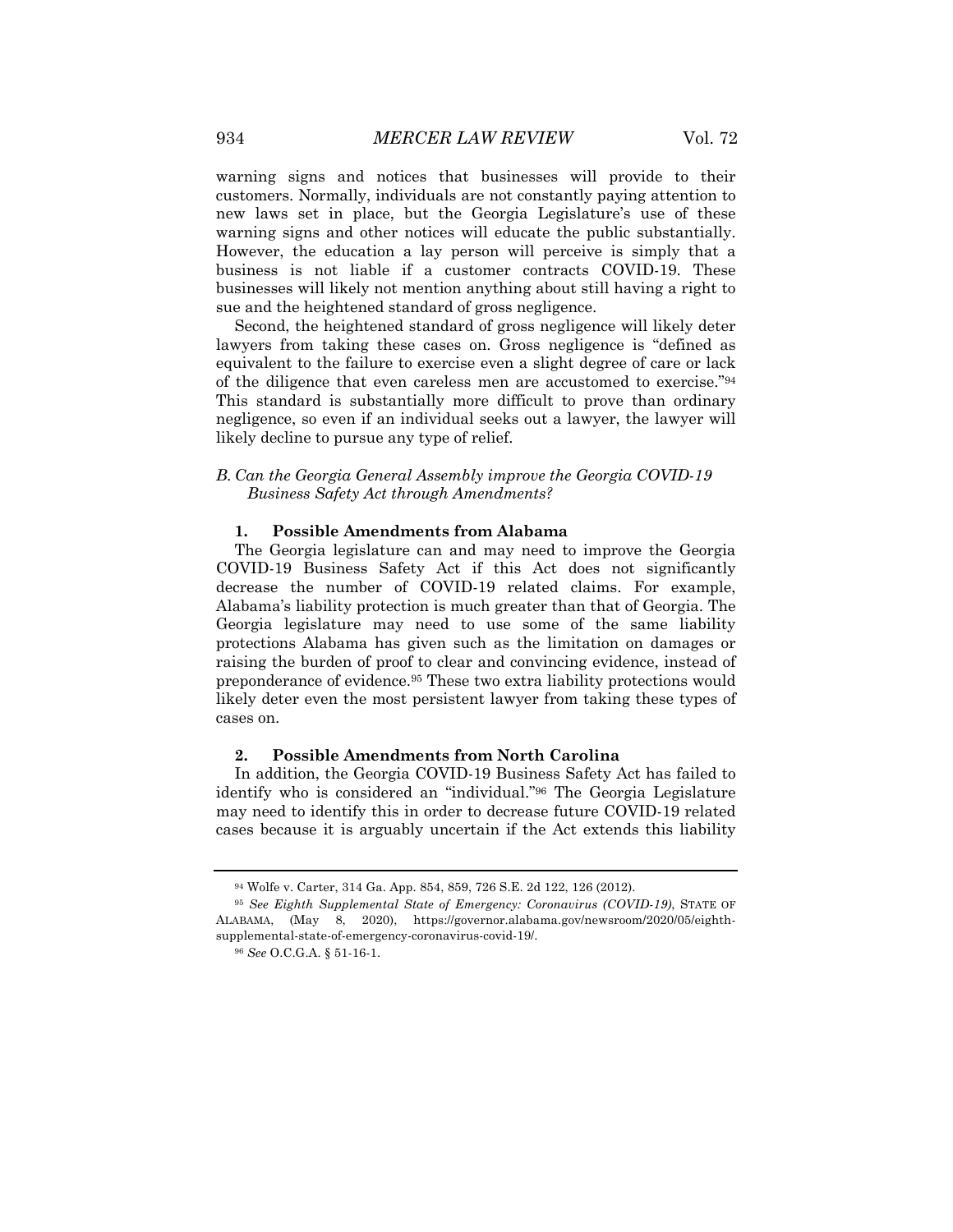warning signs and notices that businesses will provide to their customers. Normally, individuals are not constantly paying attention to new laws set in place, but the Georgia Legislature's use of these warning signs and other notices will educate the public substantially. However, the education a lay person will perceive is simply that a business is not liable if a customer contracts COVID-19. These businesses will likely not mention anything about still having a right to sue and the heightened standard of gross negligence.

Second, the heightened standard of gross negligence will likely deter lawyers from taking these cases on. Gross negligence is "defined as equivalent to the failure to exercise even a slight degree of care or lack of the diligence that even careless men are accustomed to exercise."94 This standard is substantially more difficult to prove than ordinary negligence, so even if an individual seeks out a lawyer, the lawyer will likely decline to pursue any type of relief.

# *B. Can the Georgia General Assembly improve the Georgia COVID-19 Business Safety Act through Amendments?*

#### **1. Possible Amendments from Alabama**

The Georgia legislature can and may need to improve the Georgia COVID-19 Business Safety Act if this Act does not significantly decrease the number of COVID-19 related claims. For example, Alabama's liability protection is much greater than that of Georgia. The Georgia legislature may need to use some of the same liability protections Alabama has given such as the limitation on damages or raising the burden of proof to clear and convincing evidence, instead of preponderance of evidence.95 These two extra liability protections would likely deter even the most persistent lawyer from taking these types of cases on.

#### **2. Possible Amendments from North Carolina**

In addition, the Georgia COVID-19 Business Safety Act has failed to identify who is considered an "individual."96 The Georgia Legislature may need to identify this in order to decrease future COVID-19 related cases because it is arguably uncertain if the Act extends this liability

<sup>94</sup> Wolfe v. Carter, 314 Ga. App. 854, 859, 726 S.E. 2d 122, 126 (2012).

<sup>95</sup> *See Eighth Supplemental State of Emergency: Coronavirus (COVID-19)*, STATE OF ALABAMA, (May 8, 2020), https://governor.alabama.gov/newsroom/2020/05/eighthsupplemental-state-of-emergency-coronavirus-covid-19/.

<sup>96</sup> *See* O.C.G.A. § 51-16-1.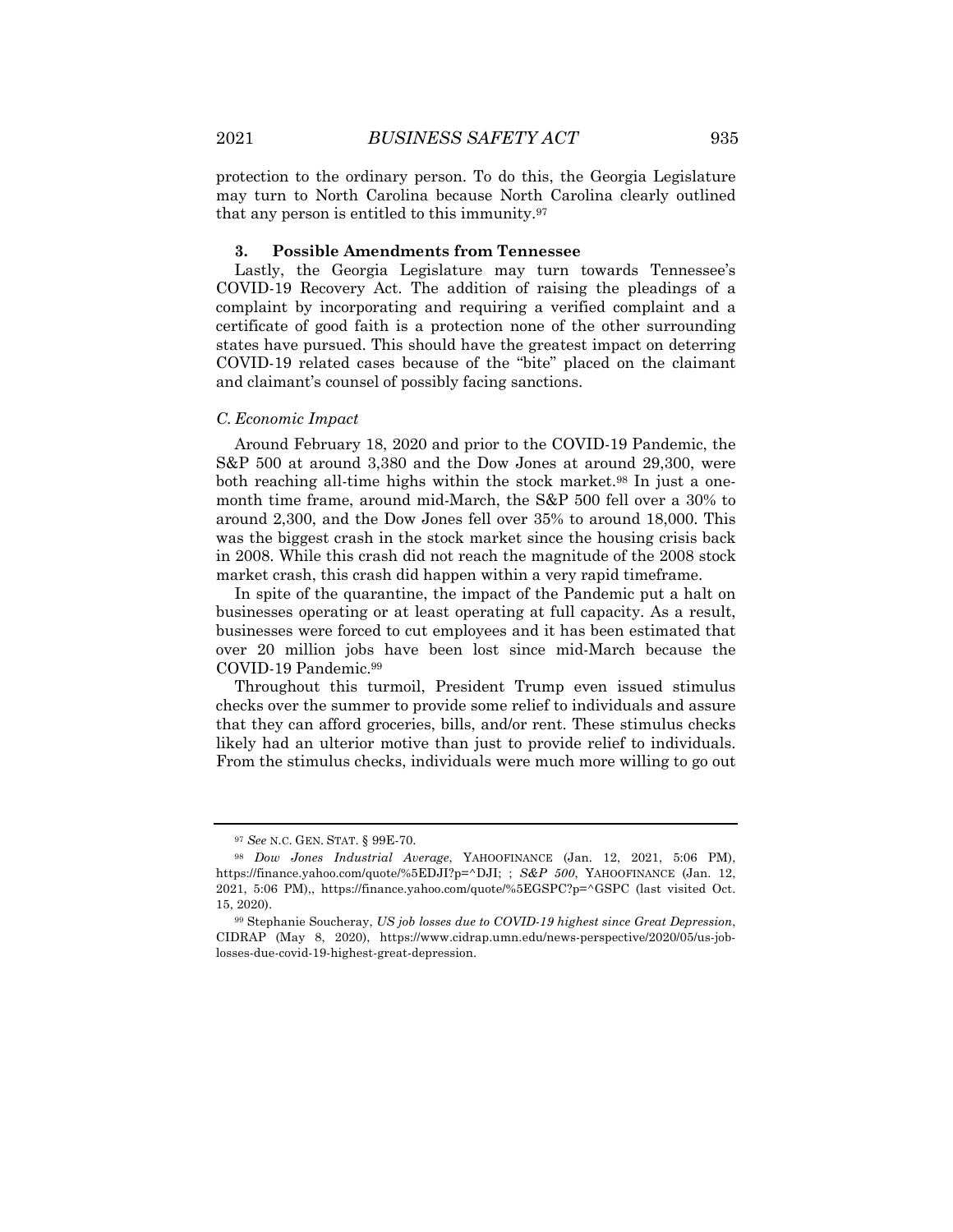protection to the ordinary person. To do this, the Georgia Legislature may turn to North Carolina because North Carolina clearly outlined that any person is entitled to this immunity.97

#### **3. Possible Amendments from Tennessee**

Lastly, the Georgia Legislature may turn towards Tennessee's COVID-19 Recovery Act. The addition of raising the pleadings of a complaint by incorporating and requiring a verified complaint and a certificate of good faith is a protection none of the other surrounding states have pursued. This should have the greatest impact on deterring COVID-19 related cases because of the "bite" placed on the claimant and claimant's counsel of possibly facing sanctions.

#### *C. Economic Impact*

Around February 18, 2020 and prior to the COVID-19 Pandemic, the S&P 500 at around 3,380 and the Dow Jones at around 29,300, were both reaching all-time highs within the stock market.<sup>98</sup> In just a onemonth time frame, around mid-March, the S&P 500 fell over a 30% to around 2,300, and the Dow Jones fell over 35% to around 18,000. This was the biggest crash in the stock market since the housing crisis back in 2008. While this crash did not reach the magnitude of the 2008 stock market crash, this crash did happen within a very rapid timeframe.

In spite of the quarantine, the impact of the Pandemic put a halt on businesses operating or at least operating at full capacity. As a result, businesses were forced to cut employees and it has been estimated that over 20 million jobs have been lost since mid-March because the COVID-19 Pandemic.99

Throughout this turmoil, President Trump even issued stimulus checks over the summer to provide some relief to individuals and assure that they can afford groceries, bills, and/or rent. These stimulus checks likely had an ulterior motive than just to provide relief to individuals. From the stimulus checks, individuals were much more willing to go out

<sup>97</sup> *See* N.C. GEN. STAT. § 99E-70.

<sup>98</sup> *Dow Jones Industrial Average*, YAHOOFINANCE (Jan. 12, 2021, 5:06 PM), https://finance.yahoo.com/quote/%5EDJI?p=^DJI; ; *S&P 500*, YAHOOFINANCE (Jan. 12, 2021, 5:06 PM),, https://finance.yahoo.com/quote/%5EGSPC?p=^GSPC (last visited Oct. 15, 2020).

<sup>99</sup> Stephanie Soucheray, *US job losses due to COVID-19 highest since Great Depression*, CIDRAP (May 8, 2020), https://www.cidrap.umn.edu/news-perspective/2020/05/us-joblosses-due-covid-19-highest-great-depression.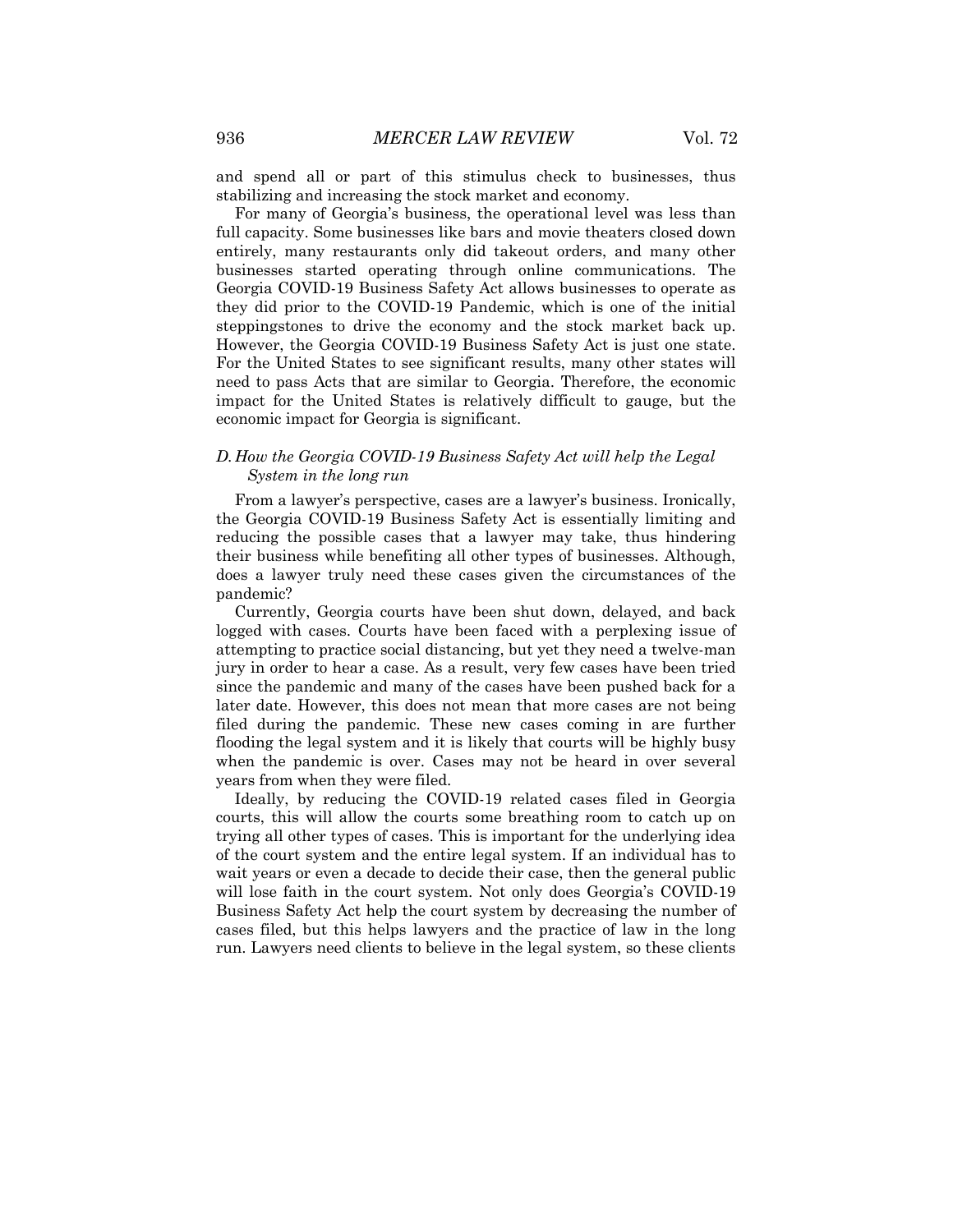and spend all or part of this stimulus check to businesses, thus stabilizing and increasing the stock market and economy.

For many of Georgia's business, the operational level was less than full capacity. Some businesses like bars and movie theaters closed down entirely, many restaurants only did takeout orders, and many other businesses started operating through online communications. The Georgia COVID-19 Business Safety Act allows businesses to operate as they did prior to the COVID-19 Pandemic, which is one of the initial steppingstones to drive the economy and the stock market back up. However, the Georgia COVID-19 Business Safety Act is just one state. For the United States to see significant results, many other states will need to pass Acts that are similar to Georgia. Therefore, the economic impact for the United States is relatively difficult to gauge, but the economic impact for Georgia is significant.

# *D. How the Georgia COVID-19 Business Safety Act will help the Legal System in the long run*

From a lawyer's perspective, cases are a lawyer's business. Ironically, the Georgia COVID-19 Business Safety Act is essentially limiting and reducing the possible cases that a lawyer may take, thus hindering their business while benefiting all other types of businesses. Although, does a lawyer truly need these cases given the circumstances of the pandemic?

Currently, Georgia courts have been shut down, delayed, and back logged with cases. Courts have been faced with a perplexing issue of attempting to practice social distancing, but yet they need a twelve-man jury in order to hear a case. As a result, very few cases have been tried since the pandemic and many of the cases have been pushed back for a later date. However, this does not mean that more cases are not being filed during the pandemic. These new cases coming in are further flooding the legal system and it is likely that courts will be highly busy when the pandemic is over. Cases may not be heard in over several years from when they were filed.

Ideally, by reducing the COVID-19 related cases filed in Georgia courts, this will allow the courts some breathing room to catch up on trying all other types of cases. This is important for the underlying idea of the court system and the entire legal system. If an individual has to wait years or even a decade to decide their case, then the general public will lose faith in the court system. Not only does Georgia's COVID-19 Business Safety Act help the court system by decreasing the number of cases filed, but this helps lawyers and the practice of law in the long run. Lawyers need clients to believe in the legal system, so these clients